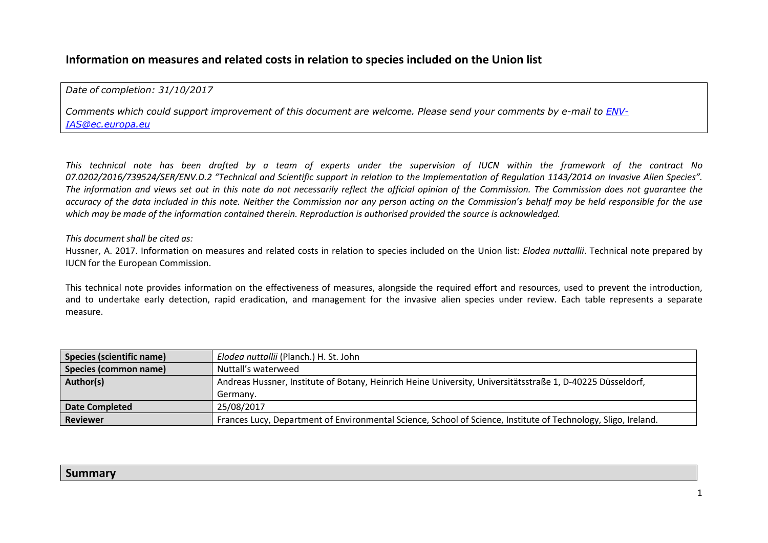# **Information on measures and related costs in relation to species included on the Union list**

### *Date of completion: 31/10/2017*

Comments which could support improvement of this document are welcome. Please send your comments by e-mail to [ENV-](mailto:ENV-IAS@ec.europa.eu)*[IAS@ec.europa.eu](mailto:ENV-IAS@ec.europa.eu)*

This technical note has been drafted by a team of experts under the supervision of IUCN within the framework of the contract No 07.0202/2016/739524/SER/ENV.D.2 "Technical and Scientific support in relation to the Implementation of Regulation 1143/2014 on Invasive Alien Species". The information and views set out in this note do not necessarily reflect the official opinion of the Commission. The Commission does not quarantee the accuracy of the data included in this note. Neither the Commission nor any person acting on the Commission's behalf may be held responsible for the use *which may be made of the information contained therein. Reproduction is authorised provided the source is acknowledged.*

#### *This document shall be cited as:*

Hussner, A. 2017. Information on measures and related costs in relation to species included on the Union list: *Elodea nuttallii*. Technical note prepared by IUCN for the European Commission.

This technical note provides information on the effectiveness of measures, alongside the required effort and resources, used to prevent the introduction, and to undertake early detection, rapid eradication, and management for the invasive alien species under review. Each table represents a separate measure.

| <b>Species (scientific name)</b> | Elodea nuttallii (Planch.) H. St. John                                                                         |
|----------------------------------|----------------------------------------------------------------------------------------------------------------|
| <b>Species (common name)</b>     | Nuttall's waterweed                                                                                            |
| Author(s)                        | Andreas Hussner, Institute of Botany, Heinrich Heine University, Universitätsstraße 1, D-40225 Düsseldorf,     |
|                                  | Germany.                                                                                                       |
| <b>Date Completed</b>            | 25/08/2017                                                                                                     |
| <b>Reviewer</b>                  | Frances Lucy, Department of Environmental Science, School of Science, Institute of Technology, Sligo, Ireland. |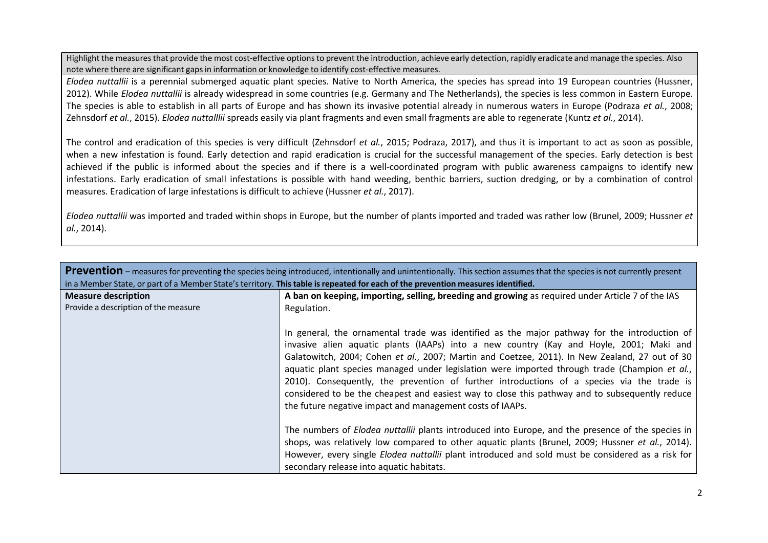Highlight the measuresthat provide the most cost-effective optionsto prevent the introduction, achieve early detection, rapidly eradicate and manage the species. Also note where there are significant gapsin information or knowledge to identify cost-effective measures.

*Elodea nuttallii* is a perennial submerged aquatic plant species. Native to North America, the species has spread into 19 European countries (Hussner, 2012). While *Elodea nuttallii* is already widespread in some countries (e.g. Germany and The Netherlands), the species is less common in Eastern Europe. The species is able to establish in all parts of Europe and has shown its invasive potential already in numerous waters in Europe (Podraza *et al.*, 2008; Zehnsdorf *et al.*, 2015). *Elodea nuttalllii* spreads easily via plant fragments and even small fragments are able to regenerate (Kuntz *et al.*, 2014).

The control and eradication of this species is very difficult (Zehnsdorf *et al.*, 2015; Podraza, 2017), and thus it is important to act as soon as possible, when a new infestation is found. Early detection and rapid eradication is crucial for the successful management of the species. Early detection is best achieved if the public is informed about the species and if there is a well-coordinated program with public awareness campaigns to identify new infestations. Early eradication of small infestations is possible with hand weeding, benthic barriers, suction dredging, or by a combination of control measures. Eradication of large infestations is difficult to achieve (Hussner *et al.*, 2017).

*Elodea nuttallii* was imported and traded within shops in Europe, but the number of plants imported and traded was rather low (Brunel, 2009; Hussner *et al.*, 2014).

| Prevention – measures for preventing the species being introduced, intentionally and unintentionally. This section assumes that the species is not currently present<br>in a Member State, or part of a Member State's territory. This table is repeated for each of the prevention measures identified. |                                                                                                                                                                                                                                                                                                                                                                                                                                                                                                                                                                                                                                                         |
|----------------------------------------------------------------------------------------------------------------------------------------------------------------------------------------------------------------------------------------------------------------------------------------------------------|---------------------------------------------------------------------------------------------------------------------------------------------------------------------------------------------------------------------------------------------------------------------------------------------------------------------------------------------------------------------------------------------------------------------------------------------------------------------------------------------------------------------------------------------------------------------------------------------------------------------------------------------------------|
| <b>Measure description</b>                                                                                                                                                                                                                                                                               | A ban on keeping, importing, selling, breeding and growing as required under Article 7 of the IAS                                                                                                                                                                                                                                                                                                                                                                                                                                                                                                                                                       |
| Provide a description of the measure                                                                                                                                                                                                                                                                     | Regulation.                                                                                                                                                                                                                                                                                                                                                                                                                                                                                                                                                                                                                                             |
|                                                                                                                                                                                                                                                                                                          | In general, the ornamental trade was identified as the major pathway for the introduction of<br>invasive alien aquatic plants (IAAPs) into a new country (Kay and Hoyle, 2001; Maki and<br>Galatowitch, 2004; Cohen et al., 2007; Martin and Coetzee, 2011). In New Zealand, 27 out of 30<br>aquatic plant species managed under legislation were imported through trade (Champion et al.,<br>2010). Consequently, the prevention of further introductions of a species via the trade is<br>considered to be the cheapest and easiest way to close this pathway and to subsequently reduce<br>the future negative impact and management costs of IAAPs. |
|                                                                                                                                                                                                                                                                                                          | The numbers of <i>Elodea nuttallii</i> plants introduced into Europe, and the presence of the species in<br>shops, was relatively low compared to other aquatic plants (Brunel, 2009; Hussner et al., 2014).                                                                                                                                                                                                                                                                                                                                                                                                                                            |
|                                                                                                                                                                                                                                                                                                          | However, every single <i>Elodea nuttallii</i> plant introduced and sold must be considered as a risk for<br>secondary release into aquatic habitats.                                                                                                                                                                                                                                                                                                                                                                                                                                                                                                    |
|                                                                                                                                                                                                                                                                                                          |                                                                                                                                                                                                                                                                                                                                                                                                                                                                                                                                                                                                                                                         |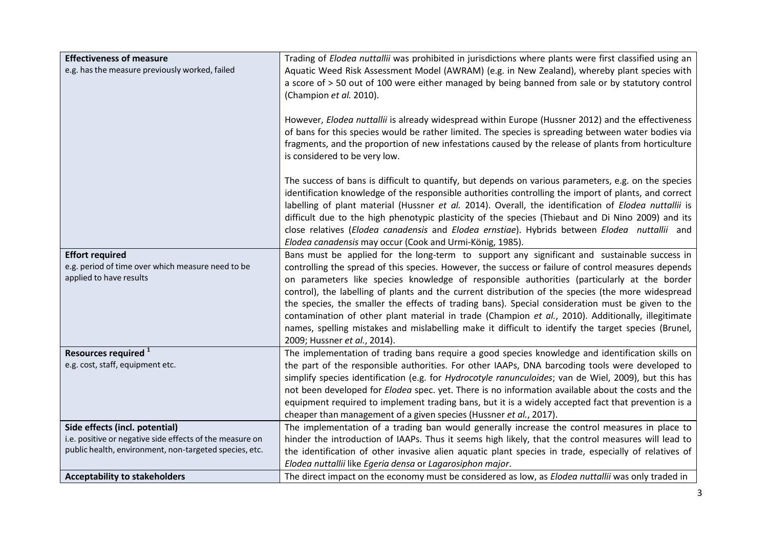| <b>Effectiveness of measure</b><br>e.g. has the measure previously worked, failed                      | Trading of Elodea nuttallii was prohibited in jurisdictions where plants were first classified using an<br>Aquatic Weed Risk Assessment Model (AWRAM) (e.g. in New Zealand), whereby plant species with<br>a score of > 50 out of 100 were either managed by being banned from sale or by statutory control<br>(Champion et al. 2010).                                                                                                                                                                                                                                                                                                                                                                                                                     |
|--------------------------------------------------------------------------------------------------------|------------------------------------------------------------------------------------------------------------------------------------------------------------------------------------------------------------------------------------------------------------------------------------------------------------------------------------------------------------------------------------------------------------------------------------------------------------------------------------------------------------------------------------------------------------------------------------------------------------------------------------------------------------------------------------------------------------------------------------------------------------|
|                                                                                                        | However, Elodea nuttallii is already widespread within Europe (Hussner 2012) and the effectiveness<br>of bans for this species would be rather limited. The species is spreading between water bodies via<br>fragments, and the proportion of new infestations caused by the release of plants from horticulture<br>is considered to be very low.                                                                                                                                                                                                                                                                                                                                                                                                          |
|                                                                                                        | The success of bans is difficult to quantify, but depends on various parameters, e.g. on the species<br>identification knowledge of the responsible authorities controlling the import of plants, and correct<br>labelling of plant material (Hussner et al. 2014). Overall, the identification of Elodea nuttallii is<br>difficult due to the high phenotypic plasticity of the species (Thiebaut and Di Nino 2009) and its<br>close relatives (Elodea canadensis and Elodea ernstiae). Hybrids between Elodea nuttallii and<br>Elodea canadensis may occur (Cook and Urmi-König, 1985).                                                                                                                                                                  |
| <b>Effort required</b><br>e.g. period of time over which measure need to be<br>applied to have results | Bans must be applied for the long-term to support any significant and sustainable success in<br>controlling the spread of this species. However, the success or failure of control measures depends<br>on parameters like species knowledge of responsible authorities (particularly at the border<br>control), the labelling of plants and the current distribution of the species (the more widespread<br>the species, the smaller the effects of trading bans). Special consideration must be given to the<br>contamination of other plant material in trade (Champion et al., 2010). Additionally, illegitimate<br>names, spelling mistakes and mislabelling make it difficult to identify the target species (Brunel,<br>2009; Hussner et al., 2014). |
| Resources required <sup>1</sup>                                                                        | The implementation of trading bans require a good species knowledge and identification skills on                                                                                                                                                                                                                                                                                                                                                                                                                                                                                                                                                                                                                                                           |
| e.g. cost, staff, equipment etc.                                                                       | the part of the responsible authorities. For other IAAPs, DNA barcoding tools were developed to<br>simplify species identification (e.g. for Hydrocotyle ranunculoides; van de Wiel, 2009), but this has<br>not been developed for <i>Elodea</i> spec. yet. There is no information available about the costs and the<br>equipment required to implement trading bans, but it is a widely accepted fact that prevention is a<br>cheaper than management of a given species (Hussner et al., 2017).                                                                                                                                                                                                                                                         |
| Side effects (incl. potential)                                                                         | The implementation of a trading ban would generally increase the control measures in place to                                                                                                                                                                                                                                                                                                                                                                                                                                                                                                                                                                                                                                                              |
| i.e. positive or negative side effects of the measure on                                               | hinder the introduction of IAAPs. Thus it seems high likely, that the control measures will lead to                                                                                                                                                                                                                                                                                                                                                                                                                                                                                                                                                                                                                                                        |
| public health, environment, non-targeted species, etc.                                                 | the identification of other invasive alien aquatic plant species in trade, especially of relatives of<br>Elodea nuttallii like Egeria densa or Lagarosiphon major.                                                                                                                                                                                                                                                                                                                                                                                                                                                                                                                                                                                         |
| <b>Acceptability to stakeholders</b>                                                                   | The direct impact on the economy must be considered as low, as Elodea nuttallii was only traded in                                                                                                                                                                                                                                                                                                                                                                                                                                                                                                                                                                                                                                                         |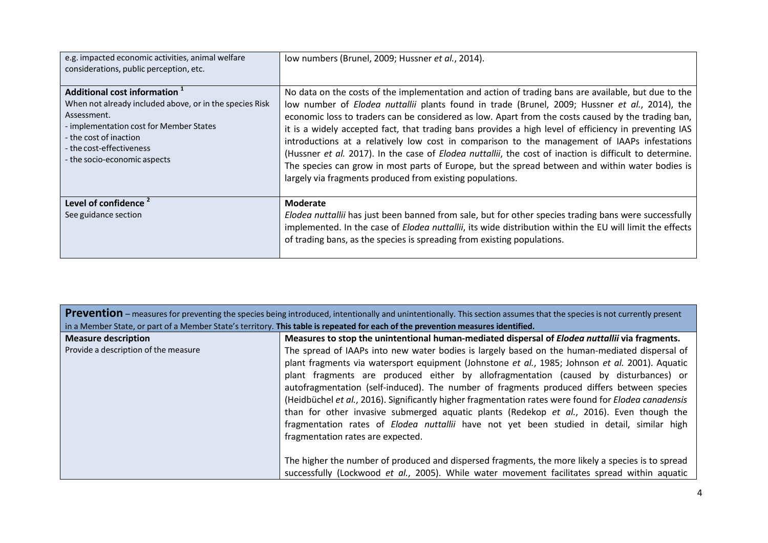| e.g. impacted economic activities, animal welfare<br>considerations, public perception, etc.                                                                                                                                                        | low numbers (Brunel, 2009; Hussner et al., 2014).                                                                                                                                                                                                                                                                                                                                                                                                                                                                                                                                                                                                                                                                                                                                               |
|-----------------------------------------------------------------------------------------------------------------------------------------------------------------------------------------------------------------------------------------------------|-------------------------------------------------------------------------------------------------------------------------------------------------------------------------------------------------------------------------------------------------------------------------------------------------------------------------------------------------------------------------------------------------------------------------------------------------------------------------------------------------------------------------------------------------------------------------------------------------------------------------------------------------------------------------------------------------------------------------------------------------------------------------------------------------|
| Additional cost information <sup>1</sup><br>When not already included above, or in the species Risk<br>Assessment.<br>- implementation cost for Member States<br>- the cost of inaction<br>- the cost-effectiveness<br>- the socio-economic aspects | No data on the costs of the implementation and action of trading bans are available, but due to the<br>low number of Elodea nuttallii plants found in trade (Brunel, 2009; Hussner et al., 2014), the<br>economic loss to traders can be considered as low. Apart from the costs caused by the trading ban,<br>it is a widely accepted fact, that trading bans provides a high level of efficiency in preventing IAS<br>introductions at a relatively low cost in comparison to the management of IAAPs infestations<br>(Hussner et al. 2017). In the case of Elodea nuttallii, the cost of inaction is difficult to determine.<br>The species can grow in most parts of Europe, but the spread between and within water bodies is<br>largely via fragments produced from existing populations. |
| Level of confidence <sup>2</sup><br>See guidance section                                                                                                                                                                                            | <b>Moderate</b><br>Elodea nuttallii has just been banned from sale, but for other species trading bans were successfully<br>implemented. In the case of Elodea nuttallii, its wide distribution within the EU will limit the effects<br>of trading bans, as the species is spreading from existing populations.                                                                                                                                                                                                                                                                                                                                                                                                                                                                                 |

| <b>Prevention</b> – measures for preventing the species being introduced, intentionally and unintentionally. This section assumes that the species is not currently present |                                                                                                             |
|-----------------------------------------------------------------------------------------------------------------------------------------------------------------------------|-------------------------------------------------------------------------------------------------------------|
| in a Member State, or part of a Member State's territory. This table is repeated for each of the prevention measures identified.                                            |                                                                                                             |
| <b>Measure description</b>                                                                                                                                                  | Measures to stop the unintentional human-mediated dispersal of <i>Elodea nuttallii</i> via fragments.       |
| Provide a description of the measure                                                                                                                                        | The spread of IAAPs into new water bodies is largely based on the human-mediated dispersal of               |
|                                                                                                                                                                             | plant fragments via watersport equipment (Johnstone et al., 1985; Johnson et al. 2001). Aquatic             |
|                                                                                                                                                                             | plant fragments are produced either by allofragmentation (caused by disturbances) or                        |
|                                                                                                                                                                             | autofragmentation (self-induced). The number of fragments produced differs between species                  |
|                                                                                                                                                                             | (Heidbüchel et al., 2016). Significantly higher fragmentation rates were found for <i>Elodea canadensis</i> |
|                                                                                                                                                                             | than for other invasive submerged aquatic plants (Redekop et al., 2016). Even though the                    |
|                                                                                                                                                                             | fragmentation rates of <i>Elodea nuttallii</i> have not yet been studied in detail, similar high            |
|                                                                                                                                                                             | fragmentation rates are expected.                                                                           |
|                                                                                                                                                                             |                                                                                                             |
|                                                                                                                                                                             | The higher the number of produced and dispersed fragments, the more likely a species is to spread           |
|                                                                                                                                                                             | successfully (Lockwood et al., 2005). While water movement facilitates spread within aquatic                |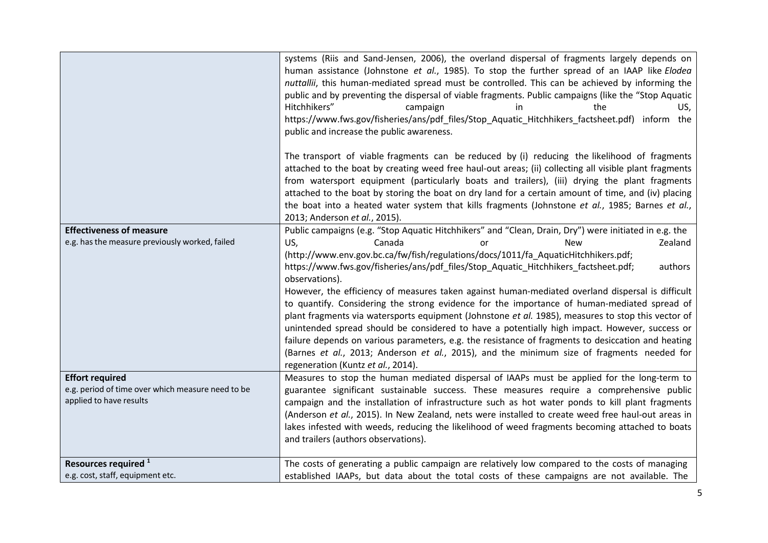|                                                                                   | systems (Riis and Sand-Jensen, 2006), the overland dispersal of fragments largely depends on<br>human assistance (Johnstone et al., 1985). To stop the further spread of an IAAP like Elodea<br>nuttallii, this human-mediated spread must be controlled. This can be achieved by informing the<br>public and by preventing the dispersal of viable fragments. Public campaigns (like the "Stop Aquatic<br>Hitchhikers"<br>campaign<br>the<br>in.<br>US,<br>https://www.fws.gov/fisheries/ans/pdf_files/Stop_Aquatic_Hitchhikers_factsheet.pdf) inform the<br>public and increase the public awareness.<br>The transport of viable fragments can be reduced by (i) reducing the likelihood of fragments<br>attached to the boat by creating weed free haul-out areas; (ii) collecting all visible plant fragments<br>from watersport equipment (particularly boats and trailers), (iii) drying the plant fragments<br>attached to the boat by storing the boat on dry land for a certain amount of time, and (iv) placing<br>the boat into a heated water system that kills fragments (Johnstone et al., 1985; Barnes et al.,<br>2013; Anderson et al., 2015). |
|-----------------------------------------------------------------------------------|----------------------------------------------------------------------------------------------------------------------------------------------------------------------------------------------------------------------------------------------------------------------------------------------------------------------------------------------------------------------------------------------------------------------------------------------------------------------------------------------------------------------------------------------------------------------------------------------------------------------------------------------------------------------------------------------------------------------------------------------------------------------------------------------------------------------------------------------------------------------------------------------------------------------------------------------------------------------------------------------------------------------------------------------------------------------------------------------------------------------------------------------------------------|
| <b>Effectiveness of measure</b><br>e.g. has the measure previously worked, failed | Public campaigns (e.g. "Stop Aquatic Hitchhikers" and "Clean, Drain, Dry") were initiated in e.g. the<br>US,<br>Zealand<br>Canada<br><b>New</b><br>nr                                                                                                                                                                                                                                                                                                                                                                                                                                                                                                                                                                                                                                                                                                                                                                                                                                                                                                                                                                                                          |
|                                                                                   | (http://www.env.gov.bc.ca/fw/fish/regulations/docs/1011/fa AquaticHitchhikers.pdf;<br>https://www.fws.gov/fisheries/ans/pdf_files/Stop_Aquatic_Hitchhikers_factsheet.pdf;<br>authors<br>observations).<br>However, the efficiency of measures taken against human-mediated overland dispersal is difficult<br>to quantify. Considering the strong evidence for the importance of human-mediated spread of<br>plant fragments via watersports equipment (Johnstone et al. 1985), measures to stop this vector of<br>unintended spread should be considered to have a potentially high impact. However, success or<br>failure depends on various parameters, e.g. the resistance of fragments to desiccation and heating<br>(Barnes et al., 2013; Anderson et al., 2015), and the minimum size of fragments needed for<br>regeneration (Kuntz et al., 2014).                                                                                                                                                                                                                                                                                                     |
| <b>Effort required</b><br>e.g. period of time over which measure need to be       | Measures to stop the human mediated dispersal of IAAPs must be applied for the long-term to<br>guarantee significant sustainable success. These measures require a comprehensive public                                                                                                                                                                                                                                                                                                                                                                                                                                                                                                                                                                                                                                                                                                                                                                                                                                                                                                                                                                        |
| applied to have results                                                           | campaign and the installation of infrastructure such as hot water ponds to kill plant fragments                                                                                                                                                                                                                                                                                                                                                                                                                                                                                                                                                                                                                                                                                                                                                                                                                                                                                                                                                                                                                                                                |
|                                                                                   | (Anderson et al., 2015). In New Zealand, nets were installed to create weed free haul-out areas in<br>lakes infested with weeds, reducing the likelihood of weed fragments becoming attached to boats                                                                                                                                                                                                                                                                                                                                                                                                                                                                                                                                                                                                                                                                                                                                                                                                                                                                                                                                                          |
|                                                                                   | and trailers (authors observations).                                                                                                                                                                                                                                                                                                                                                                                                                                                                                                                                                                                                                                                                                                                                                                                                                                                                                                                                                                                                                                                                                                                           |
| Resources required <sup>1</sup>                                                   | The costs of generating a public campaign are relatively low compared to the costs of managing                                                                                                                                                                                                                                                                                                                                                                                                                                                                                                                                                                                                                                                                                                                                                                                                                                                                                                                                                                                                                                                                 |
| e.g. cost, staff, equipment etc.                                                  | established IAAPs, but data about the total costs of these campaigns are not available. The                                                                                                                                                                                                                                                                                                                                                                                                                                                                                                                                                                                                                                                                                                                                                                                                                                                                                                                                                                                                                                                                    |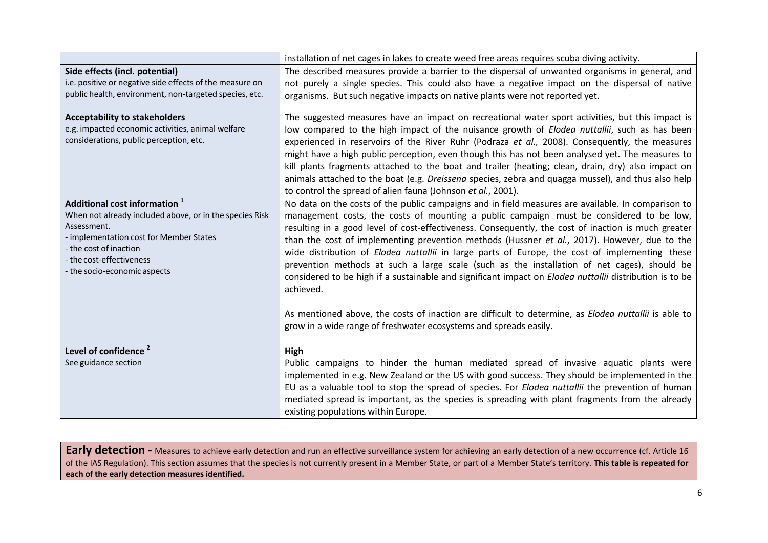|                                                                                                                                                                                                                                          | installation of net cages in lakes to create weed free areas requires scuba diving activity.                                                                                                                                                                                                                                                                                                                                                                                                                                                                                                                                                                                                                                                                                                                                                                                                                      |
|------------------------------------------------------------------------------------------------------------------------------------------------------------------------------------------------------------------------------------------|-------------------------------------------------------------------------------------------------------------------------------------------------------------------------------------------------------------------------------------------------------------------------------------------------------------------------------------------------------------------------------------------------------------------------------------------------------------------------------------------------------------------------------------------------------------------------------------------------------------------------------------------------------------------------------------------------------------------------------------------------------------------------------------------------------------------------------------------------------------------------------------------------------------------|
| Side effects (incl. potential)                                                                                                                                                                                                           | The described measures provide a barrier to the dispersal of unwanted organisms in general, and                                                                                                                                                                                                                                                                                                                                                                                                                                                                                                                                                                                                                                                                                                                                                                                                                   |
| i.e. positive or negative side effects of the measure on<br>public health, environment, non-targeted species, etc.                                                                                                                       | not purely a single species. This could also have a negative impact on the dispersal of native<br>organisms. But such negative impacts on native plants were not reported yet.                                                                                                                                                                                                                                                                                                                                                                                                                                                                                                                                                                                                                                                                                                                                    |
| <b>Acceptability to stakeholders</b><br>e.g. impacted economic activities, animal welfare<br>considerations, public perception, etc.                                                                                                     | The suggested measures have an impact on recreational water sport activities, but this impact is<br>low compared to the high impact of the nuisance growth of <i>Elodea nuttallii</i> , such as has been<br>experienced in reservoirs of the River Ruhr (Podraza et al., 2008). Consequently, the measures<br>might have a high public perception, even though this has not been analysed yet. The measures to<br>kill plants fragments attached to the boat and trailer (heating; clean, drain, dry) also impact on<br>animals attached to the boat (e.g. Dreissena species, zebra and quagga mussel), and thus also help<br>to control the spread of alien fauna (Johnson et al., 2001).                                                                                                                                                                                                                        |
| Additional cost information 1<br>When not already included above, or in the species Risk<br>Assessment.<br>- implementation cost for Member States<br>- the cost of inaction<br>- the cost-effectiveness<br>- the socio-economic aspects | No data on the costs of the public campaigns and in field measures are available. In comparison to<br>management costs, the costs of mounting a public campaign must be considered to be low,<br>resulting in a good level of cost-effectiveness. Consequently, the cost of inaction is much greater<br>than the cost of implementing prevention methods (Hussner et al., 2017). However, due to the<br>wide distribution of Elodea nuttallii in large parts of Europe, the cost of implementing these<br>prevention methods at such a large scale (such as the installation of net cages), should be<br>considered to be high if a sustainable and significant impact on <i>Elodea nuttallii</i> distribution is to be<br>achieved.<br>As mentioned above, the costs of inaction are difficult to determine, as Elodea nuttallii is able to<br>grow in a wide range of freshwater ecosystems and spreads easily. |
| Level of confidence <sup>2</sup><br>See guidance section                                                                                                                                                                                 | High<br>Public campaigns to hinder the human mediated spread of invasive aquatic plants were<br>implemented in e.g. New Zealand or the US with good success. They should be implemented in the<br>EU as a valuable tool to stop the spread of species. For Elodea nuttallii the prevention of human<br>mediated spread is important, as the species is spreading with plant fragments from the already<br>existing populations within Europe.                                                                                                                                                                                                                                                                                                                                                                                                                                                                     |

**Early detection** - Measures to achieve early detection and run an effective surveillance system for achieving an early detection of a new occurrence (cf. Article 16 of the IAS Regulation). This section assumes that the species is not currently present in a Member State, or part of a Member State's territory. **This table is repeated for each of the early detection measures identified.**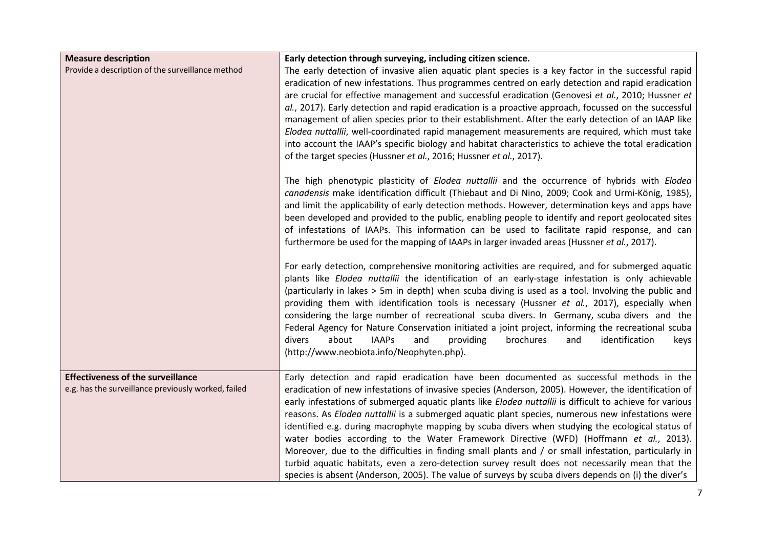| <b>Measure description</b>                                                                      | Early detection through surveying, including citizen science.                                                                                                                                                                                                                                                                                                                                                                                                                                                                                                                                                                                                                                                                                                                                                                                                                                                                     |
|-------------------------------------------------------------------------------------------------|-----------------------------------------------------------------------------------------------------------------------------------------------------------------------------------------------------------------------------------------------------------------------------------------------------------------------------------------------------------------------------------------------------------------------------------------------------------------------------------------------------------------------------------------------------------------------------------------------------------------------------------------------------------------------------------------------------------------------------------------------------------------------------------------------------------------------------------------------------------------------------------------------------------------------------------|
| Provide a description of the surveillance method                                                | The early detection of invasive alien aquatic plant species is a key factor in the successful rapid<br>eradication of new infestations. Thus programmes centred on early detection and rapid eradication<br>are crucial for effective management and successful eradication (Genovesi et al., 2010; Hussner et<br>al., 2017). Early detection and rapid eradication is a proactive approach, focussed on the successful<br>management of alien species prior to their establishment. After the early detection of an IAAP like<br>Elodea nuttallii, well-coordinated rapid management measurements are required, which must take<br>into account the IAAP's specific biology and habitat characteristics to achieve the total eradication<br>of the target species (Hussner et al., 2016; Hussner et al., 2017).                                                                                                                  |
|                                                                                                 | The high phenotypic plasticity of <i>Elodea nuttallii</i> and the occurrence of hybrids with <i>Elodea</i><br>canadensis make identification difficult (Thiebaut and Di Nino, 2009; Cook and Urmi-König, 1985),<br>and limit the applicability of early detection methods. However, determination keys and apps have<br>been developed and provided to the public, enabling people to identify and report geolocated sites<br>of infestations of IAAPs. This information can be used to facilitate rapid response, and can<br>furthermore be used for the mapping of IAAPs in larger invaded areas (Hussner et al., 2017).                                                                                                                                                                                                                                                                                                        |
|                                                                                                 | For early detection, comprehensive monitoring activities are required, and for submerged aquatic<br>plants like Elodea nuttallii the identification of an early-stage infestation is only achievable<br>(particularly in lakes > 5m in depth) when scuba diving is used as a tool. Involving the public and<br>providing them with identification tools is necessary (Hussner et al., 2017), especially when<br>considering the large number of recreational scuba divers. In Germany, scuba divers and the<br>Federal Agency for Nature Conservation initiated a joint project, informing the recreational scuba<br>about<br>divers<br><b>IAAPs</b><br>and<br>providing<br>brochures<br>identification<br>and<br>keys<br>(http://www.neobiota.info/Neophyten.php).                                                                                                                                                               |
| <b>Effectiveness of the surveillance</b><br>e.g. has the surveillance previously worked, failed | Early detection and rapid eradication have been documented as successful methods in the<br>eradication of new infestations of invasive species (Anderson, 2005). However, the identification of<br>early infestations of submerged aquatic plants like Elodea nuttallii is difficult to achieve for various<br>reasons. As Elodea nuttallii is a submerged aquatic plant species, numerous new infestations were<br>identified e.g. during macrophyte mapping by scuba divers when studying the ecological status of<br>water bodies according to the Water Framework Directive (WFD) (Hoffmann et al., 2013).<br>Moreover, due to the difficulties in finding small plants and / or small infestation, particularly in<br>turbid aquatic habitats, even a zero-detection survey result does not necessarily mean that the<br>species is absent (Anderson, 2005). The value of surveys by scuba divers depends on (i) the diver's |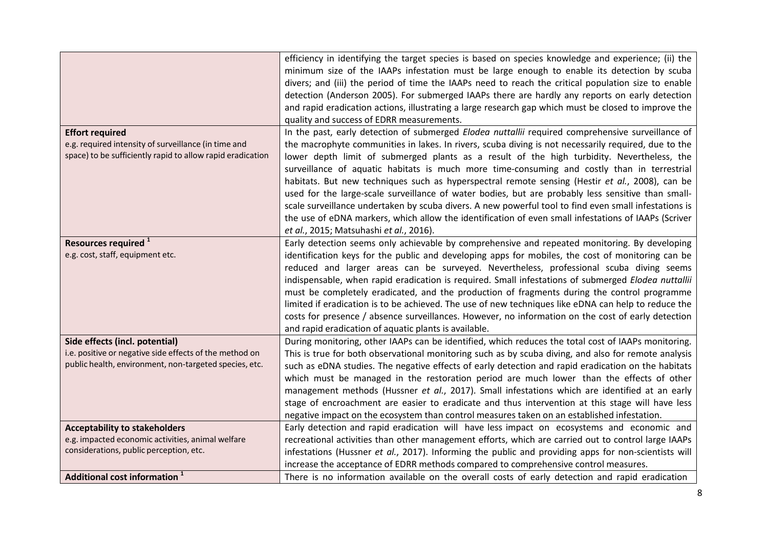|                                                                                           | efficiency in identifying the target species is based on species knowledge and experience; (ii) the   |
|-------------------------------------------------------------------------------------------|-------------------------------------------------------------------------------------------------------|
|                                                                                           | minimum size of the IAAPs infestation must be large enough to enable its detection by scuba           |
|                                                                                           | divers; and (iii) the period of time the IAAPs need to reach the critical population size to enable   |
|                                                                                           | detection (Anderson 2005). For submerged IAAPs there are hardly any reports on early detection        |
|                                                                                           | and rapid eradication actions, illustrating a large research gap which must be closed to improve the  |
|                                                                                           | quality and success of EDRR measurements.                                                             |
| <b>Effort required</b>                                                                    | In the past, early detection of submerged Elodea nuttallii required comprehensive surveillance of     |
| e.g. required intensity of surveillance (in time and                                      | the macrophyte communities in lakes. In rivers, scuba diving is not necessarily required, due to the  |
| space) to be sufficiently rapid to allow rapid eradication                                | lower depth limit of submerged plants as a result of the high turbidity. Nevertheless, the            |
|                                                                                           | surveillance of aquatic habitats is much more time-consuming and costly than in terrestrial           |
|                                                                                           | habitats. But new techniques such as hyperspectral remote sensing (Hestir et al., 2008), can be       |
|                                                                                           | used for the large-scale surveillance of water bodies, but are probably less sensitive than small-    |
|                                                                                           | scale surveillance undertaken by scuba divers. A new powerful tool to find even small infestations is |
|                                                                                           | the use of eDNA markers, which allow the identification of even small infestations of IAAPs (Scriver  |
|                                                                                           | et al., 2015; Matsuhashi et al., 2016).                                                               |
| Resources required <sup>1</sup>                                                           | Early detection seems only achievable by comprehensive and repeated monitoring. By developing         |
| e.g. cost, staff, equipment etc.                                                          | identification keys for the public and developing apps for mobiles, the cost of monitoring can be     |
|                                                                                           | reduced and larger areas can be surveyed. Nevertheless, professional scuba diving seems               |
|                                                                                           | indispensable, when rapid eradication is required. Small infestations of submerged Elodea nuttallii   |
|                                                                                           | must be completely eradicated, and the production of fragments during the control programme           |
|                                                                                           | limited if eradication is to be achieved. The use of new techniques like eDNA can help to reduce the  |
|                                                                                           | costs for presence / absence surveillances. However, no information on the cost of early detection    |
|                                                                                           | and rapid eradication of aquatic plants is available.                                                 |
| Side effects (incl. potential)                                                            | During monitoring, other IAAPs can be identified, which reduces the total cost of IAAPs monitoring.   |
| i.e. positive or negative side effects of the method on                                   | This is true for both observational monitoring such as by scuba diving, and also for remote analysis  |
| public health, environment, non-targeted species, etc.                                    | such as eDNA studies. The negative effects of early detection and rapid eradication on the habitats   |
|                                                                                           | which must be managed in the restoration period are much lower than the effects of other              |
|                                                                                           | management methods (Hussner et al., 2017). Small infestations which are identified at an early        |
|                                                                                           | stage of encroachment are easier to eradicate and thus intervention at this stage will have less      |
|                                                                                           | negative impact on the ecosystem than control measures taken on an established infestation.           |
|                                                                                           | Early detection and rapid eradication will have less impact on ecosystems and economic and            |
| <b>Acceptability to stakeholders</b><br>e.g. impacted economic activities, animal welfare | recreational activities than other management efforts, which are carried out to control large IAAPs   |
| considerations, public perception, etc.                                                   |                                                                                                       |
|                                                                                           | infestations (Hussner et al., 2017). Informing the public and providing apps for non-scientists will  |
|                                                                                           | increase the acceptance of EDRR methods compared to comprehensive control measures.                   |
| Additional cost information <sup>1</sup>                                                  | There is no information available on the overall costs of early detection and rapid eradication       |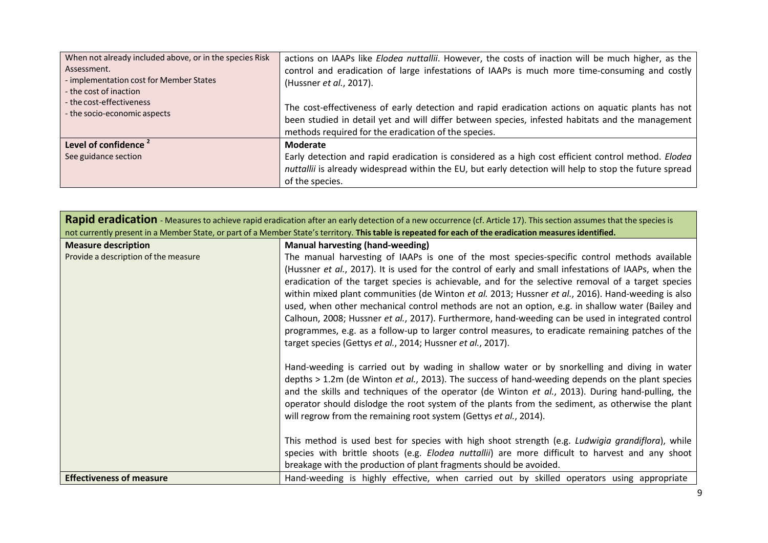| When not already included above, or in the species Risk<br>Assessment.<br>- implementation cost for Member States | actions on IAAPs like <i>Elodea nuttallii</i> . However, the costs of inaction will be much higher, as the<br>control and eradication of large infestations of IAAPs is much more time-consuming and costly<br>(Hussner et al., 2017).                        |
|-------------------------------------------------------------------------------------------------------------------|---------------------------------------------------------------------------------------------------------------------------------------------------------------------------------------------------------------------------------------------------------------|
| - the cost of inaction<br>- the cost-effectiveness<br>- the socio-economic aspects                                | The cost-effectiveness of early detection and rapid eradication actions on aquatic plants has not<br>been studied in detail yet and will differ between species, infested habitats and the management<br>methods required for the eradication of the species. |
| Level of confidence <sup>2</sup>                                                                                  | Moderate                                                                                                                                                                                                                                                      |
| See guidance section                                                                                              | Early detection and rapid eradication is considered as a high cost efficient control method. Elodea                                                                                                                                                           |
|                                                                                                                   | nuttallii is already widespread within the EU, but early detection will help to stop the future spread<br>of the species.                                                                                                                                     |

| Rapid eradication - Measures to achieve rapid eradication after an early detection of a new occurrence (cf. Article 17). This section assumes that the species is<br>not currently present in a Member State, or part of a Member State's territory. This table is repeated for each of the eradication measures identified. |                                                                                                                                                                                                                                                                                                                                                                                                                                                                                                                                                                                                                                                                                                                                                                                                                                           |
|------------------------------------------------------------------------------------------------------------------------------------------------------------------------------------------------------------------------------------------------------------------------------------------------------------------------------|-------------------------------------------------------------------------------------------------------------------------------------------------------------------------------------------------------------------------------------------------------------------------------------------------------------------------------------------------------------------------------------------------------------------------------------------------------------------------------------------------------------------------------------------------------------------------------------------------------------------------------------------------------------------------------------------------------------------------------------------------------------------------------------------------------------------------------------------|
| <b>Measure description</b><br>Provide a description of the measure                                                                                                                                                                                                                                                           | <b>Manual harvesting (hand-weeding)</b><br>The manual harvesting of IAAPs is one of the most species-specific control methods available<br>(Hussner et al., 2017). It is used for the control of early and small infestations of IAAPs, when the<br>eradication of the target species is achievable, and for the selective removal of a target species<br>within mixed plant communities (de Winton et al. 2013; Hussner et al., 2016). Hand-weeding is also<br>used, when other mechanical control methods are not an option, e.g. in shallow water (Bailey and<br>Calhoun, 2008; Hussner et al., 2017). Furthermore, hand-weeding can be used in integrated control<br>programmes, e.g. as a follow-up to larger control measures, to eradicate remaining patches of the<br>target species (Gettys et al., 2014; Hussner et al., 2017). |
|                                                                                                                                                                                                                                                                                                                              | Hand-weeding is carried out by wading in shallow water or by snorkelling and diving in water<br>depths > 1.2m (de Winton et al., 2013). The success of hand-weeding depends on the plant species<br>and the skills and techniques of the operator (de Winton et al., 2013). During hand-pulling, the<br>operator should dislodge the root system of the plants from the sediment, as otherwise the plant<br>will regrow from the remaining root system (Gettys et al., 2014).                                                                                                                                                                                                                                                                                                                                                             |
|                                                                                                                                                                                                                                                                                                                              | This method is used best for species with high shoot strength (e.g. Ludwigia grandiflora), while<br>species with brittle shoots (e.g. Elodea nuttallii) are more difficult to harvest and any shoot<br>breakage with the production of plant fragments should be avoided.                                                                                                                                                                                                                                                                                                                                                                                                                                                                                                                                                                 |
| <b>Effectiveness of measure</b>                                                                                                                                                                                                                                                                                              | Hand-weeding is highly effective, when carried out by skilled operators using appropriate                                                                                                                                                                                                                                                                                                                                                                                                                                                                                                                                                                                                                                                                                                                                                 |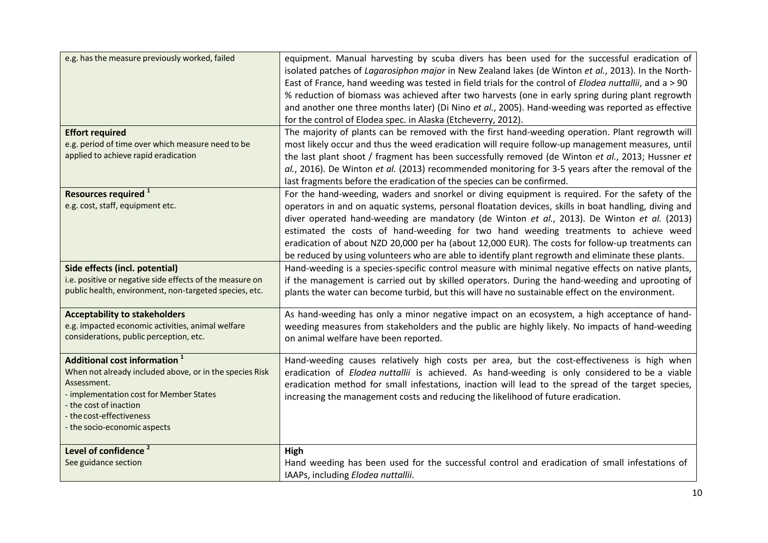| e.g. has the measure previously worked, failed                         | equipment. Manual harvesting by scuba divers has been used for the successful eradication of            |
|------------------------------------------------------------------------|---------------------------------------------------------------------------------------------------------|
|                                                                        | isolated patches of Lagarosiphon major in New Zealand lakes (de Winton et al., 2013). In the North-     |
|                                                                        | East of France, hand weeding was tested in field trials for the control of Elodea nuttallii, and a > 90 |
|                                                                        | % reduction of biomass was achieved after two harvests (one in early spring during plant regrowth       |
|                                                                        | and another one three months later) (Di Nino et al., 2005). Hand-weeding was reported as effective      |
|                                                                        | for the control of Elodea spec. in Alaska (Etcheverry, 2012).                                           |
| <b>Effort required</b>                                                 | The majority of plants can be removed with the first hand-weeding operation. Plant regrowth will        |
| e.g. period of time over which measure need to be                      | most likely occur and thus the weed eradication will require follow-up management measures, until       |
| applied to achieve rapid eradication                                   | the last plant shoot / fragment has been successfully removed (de Winton et al., 2013; Hussner et       |
|                                                                        | al., 2016). De Winton et al. (2013) recommended monitoring for 3-5 years after the removal of the       |
|                                                                        | last fragments before the eradication of the species can be confirmed.                                  |
| Resources required <sup>1</sup>                                        | For the hand-weeding, waders and snorkel or diving equipment is required. For the safety of the         |
| e.g. cost, staff, equipment etc.                                       | operators in and on aquatic systems, personal floatation devices, skills in boat handling, diving and   |
|                                                                        | diver operated hand-weeding are mandatory (de Winton et al., 2013). De Winton et al. (2013)             |
|                                                                        | estimated the costs of hand-weeding for two hand weeding treatments to achieve weed                     |
|                                                                        | eradication of about NZD 20,000 per ha (about 12,000 EUR). The costs for follow-up treatments can       |
|                                                                        | be reduced by using volunteers who are able to identify plant regrowth and eliminate these plants.      |
| Side effects (incl. potential)                                         | Hand-weeding is a species-specific control measure with minimal negative effects on native plants,      |
| i.e. positive or negative side effects of the measure on               | if the management is carried out by skilled operators. During the hand-weeding and uprooting of         |
| public health, environment, non-targeted species, etc.                 | plants the water can become turbid, but this will have no sustainable effect on the environment.        |
|                                                                        |                                                                                                         |
| <b>Acceptability to stakeholders</b>                                   | As hand-weeding has only a minor negative impact on an ecosystem, a high acceptance of hand-            |
| e.g. impacted economic activities, animal welfare                      | weeding measures from stakeholders and the public are highly likely. No impacts of hand-weeding         |
| considerations, public perception, etc.                                | on animal welfare have been reported.                                                                   |
|                                                                        |                                                                                                         |
| Additional cost information <sup>1</sup>                               | Hand-weeding causes relatively high costs per area, but the cost-effectiveness is high when             |
| When not already included above, or in the species Risk<br>Assessment. | eradication of Elodea nuttallii is achieved. As hand-weeding is only considered to be a viable          |
| - implementation cost for Member States                                | eradication method for small infestations, inaction will lead to the spread of the target species,      |
| - the cost of inaction                                                 | increasing the management costs and reducing the likelihood of future eradication.                      |
| - the cost-effectiveness                                               |                                                                                                         |
| - the socio-economic aspects                                           |                                                                                                         |
|                                                                        |                                                                                                         |
| Level of confidence <sup>2</sup>                                       | High                                                                                                    |
| See guidance section                                                   | Hand weeding has been used for the successful control and eradication of small infestations of          |
|                                                                        | IAAPs, including Elodea nuttallii.                                                                      |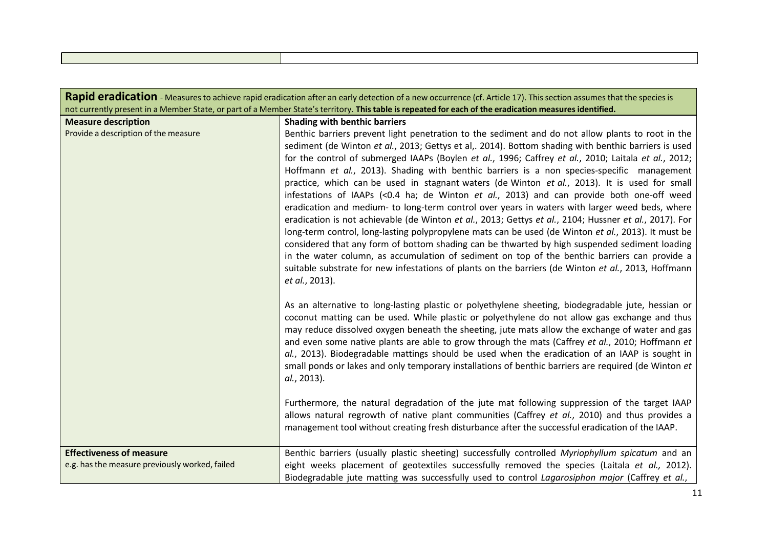| Rapid eradication - Measures to achieve rapid eradication after an early detection of a new occurrence (cf. Article 17). This section assumes that the species is |                                                                                                                                                                                                                                                                                                                                                                                                                                                                                                                                                                                                                                                                                                                                                                                                                                                                                                                                                                                                                                                                                                                                                                                                                                                             |
|-------------------------------------------------------------------------------------------------------------------------------------------------------------------|-------------------------------------------------------------------------------------------------------------------------------------------------------------------------------------------------------------------------------------------------------------------------------------------------------------------------------------------------------------------------------------------------------------------------------------------------------------------------------------------------------------------------------------------------------------------------------------------------------------------------------------------------------------------------------------------------------------------------------------------------------------------------------------------------------------------------------------------------------------------------------------------------------------------------------------------------------------------------------------------------------------------------------------------------------------------------------------------------------------------------------------------------------------------------------------------------------------------------------------------------------------|
|                                                                                                                                                                   | not currently present in a Member State, or part of a Member State's territory. This table is repeated for each of the eradication measures identified.                                                                                                                                                                                                                                                                                                                                                                                                                                                                                                                                                                                                                                                                                                                                                                                                                                                                                                                                                                                                                                                                                                     |
| <b>Measure description</b>                                                                                                                                        | <b>Shading with benthic barriers</b>                                                                                                                                                                                                                                                                                                                                                                                                                                                                                                                                                                                                                                                                                                                                                                                                                                                                                                                                                                                                                                                                                                                                                                                                                        |
| Provide a description of the measure                                                                                                                              | Benthic barriers prevent light penetration to the sediment and do not allow plants to root in the<br>sediment (de Winton et al., 2013; Gettys et al,. 2014). Bottom shading with benthic barriers is used<br>for the control of submerged IAAPs (Boylen et al., 1996; Caffrey et al., 2010; Laitala et al., 2012;<br>Hoffmann et al., 2013). Shading with benthic barriers is a non species-specific management<br>practice, which can be used in stagnant waters (de Winton et al., 2013). It is used for small<br>infestations of IAAPs (<0.4 ha; de Winton et al., 2013) and can provide both one-off weed<br>eradication and medium- to long-term control over years in waters with larger weed beds, where<br>eradication is not achievable (de Winton et al., 2013; Gettys et al., 2104; Hussner et al., 2017). For<br>long-term control, long-lasting polypropylene mats can be used (de Winton et al., 2013). It must be<br>considered that any form of bottom shading can be thwarted by high suspended sediment loading<br>in the water column, as accumulation of sediment on top of the benthic barriers can provide a<br>suitable substrate for new infestations of plants on the barriers (de Winton et al., 2013, Hoffmann<br>et al., 2013). |
|                                                                                                                                                                   | As an alternative to long-lasting plastic or polyethylene sheeting, biodegradable jute, hessian or<br>coconut matting can be used. While plastic or polyethylene do not allow gas exchange and thus<br>may reduce dissolved oxygen beneath the sheeting, jute mats allow the exchange of water and gas<br>and even some native plants are able to grow through the mats (Caffrey et al., 2010; Hoffmann et<br>al., 2013). Biodegradable mattings should be used when the eradication of an IAAP is sought in<br>small ponds or lakes and only temporary installations of benthic barriers are required (de Winton et<br>al., 2013).<br>Furthermore, the natural degradation of the jute mat following suppression of the target IAAP<br>allows natural regrowth of native plant communities (Caffrey et al., 2010) and thus provides a<br>management tool without creating fresh disturbance after the successful eradication of the IAAP.                                                                                                                                                                                                                                                                                                                  |
|                                                                                                                                                                   |                                                                                                                                                                                                                                                                                                                                                                                                                                                                                                                                                                                                                                                                                                                                                                                                                                                                                                                                                                                                                                                                                                                                                                                                                                                             |
| <b>Effectiveness of measure</b>                                                                                                                                   | Benthic barriers (usually plastic sheeting) successfully controlled Myriophyllum spicatum and an                                                                                                                                                                                                                                                                                                                                                                                                                                                                                                                                                                                                                                                                                                                                                                                                                                                                                                                                                                                                                                                                                                                                                            |
| e.g. has the measure previously worked, failed                                                                                                                    | eight weeks placement of geotextiles successfully removed the species (Laitala et al., 2012).<br>Biodegradable jute matting was successfully used to control Lagarosiphon major (Caffrey et al.,                                                                                                                                                                                                                                                                                                                                                                                                                                                                                                                                                                                                                                                                                                                                                                                                                                                                                                                                                                                                                                                            |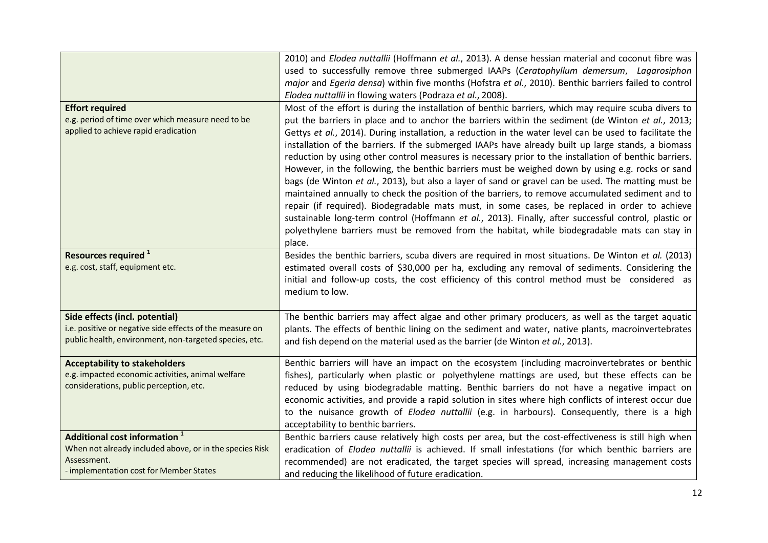|                                                                                                                                                               | 2010) and Elodea nuttallii (Hoffmann et al., 2013). A dense hessian material and coconut fibre was<br>used to successfully remove three submerged IAAPs (Ceratophyllum demersum, Lagarosiphon<br>major and Egeria densa) within five months (Hofstra et al., 2010). Benthic barriers failed to control<br>Elodea nuttallii in flowing waters (Podraza et al., 2008).                                                                                                                                                                                                                                                                                                                                                                                                                                                                                                                                                                                                                                                                                                                                                                                                 |
|---------------------------------------------------------------------------------------------------------------------------------------------------------------|----------------------------------------------------------------------------------------------------------------------------------------------------------------------------------------------------------------------------------------------------------------------------------------------------------------------------------------------------------------------------------------------------------------------------------------------------------------------------------------------------------------------------------------------------------------------------------------------------------------------------------------------------------------------------------------------------------------------------------------------------------------------------------------------------------------------------------------------------------------------------------------------------------------------------------------------------------------------------------------------------------------------------------------------------------------------------------------------------------------------------------------------------------------------|
| <b>Effort required</b><br>e.g. period of time over which measure need to be<br>applied to achieve rapid eradication                                           | Most of the effort is during the installation of benthic barriers, which may require scuba divers to<br>put the barriers in place and to anchor the barriers within the sediment (de Winton et al., 2013;<br>Gettys et al., 2014). During installation, a reduction in the water level can be used to facilitate the<br>installation of the barriers. If the submerged IAAPs have already built up large stands, a biomass<br>reduction by using other control measures is necessary prior to the installation of benthic barriers.<br>However, in the following, the benthic barriers must be weighed down by using e.g. rocks or sand<br>bags (de Winton et al., 2013), but also a layer of sand or gravel can be used. The matting must be<br>maintained annually to check the position of the barriers, to remove accumulated sediment and to<br>repair (if required). Biodegradable mats must, in some cases, be replaced in order to achieve<br>sustainable long-term control (Hoffmann et al., 2013). Finally, after successful control, plastic or<br>polyethylene barriers must be removed from the habitat, while biodegradable mats can stay in<br>place. |
| Resources required <sup>1</sup><br>e.g. cost, staff, equipment etc.                                                                                           | Besides the benthic barriers, scuba divers are required in most situations. De Winton et al. (2013)<br>estimated overall costs of \$30,000 per ha, excluding any removal of sediments. Considering the<br>initial and follow-up costs, the cost efficiency of this control method must be considered as<br>medium to low.                                                                                                                                                                                                                                                                                                                                                                                                                                                                                                                                                                                                                                                                                                                                                                                                                                            |
| Side effects (incl. potential)<br>i.e. positive or negative side effects of the measure on<br>public health, environment, non-targeted species, etc.          | The benthic barriers may affect algae and other primary producers, as well as the target aquatic<br>plants. The effects of benthic lining on the sediment and water, native plants, macroinvertebrates<br>and fish depend on the material used as the barrier (de Winton et al., 2013).                                                                                                                                                                                                                                                                                                                                                                                                                                                                                                                                                                                                                                                                                                                                                                                                                                                                              |
| <b>Acceptability to stakeholders</b><br>e.g. impacted economic activities, animal welfare<br>considerations, public perception, etc.                          | Benthic barriers will have an impact on the ecosystem (including macroinvertebrates or benthic<br>fishes), particularly when plastic or polyethylene mattings are used, but these effects can be<br>reduced by using biodegradable matting. Benthic barriers do not have a negative impact on<br>economic activities, and provide a rapid solution in sites where high conflicts of interest occur due<br>to the nuisance growth of Elodea nuttallii (e.g. in harbours). Consequently, there is a high<br>acceptability to benthic barriers.                                                                                                                                                                                                                                                                                                                                                                                                                                                                                                                                                                                                                         |
| Additional cost information <sup>1</sup><br>When not already included above, or in the species Risk<br>Assessment.<br>- implementation cost for Member States | Benthic barriers cause relatively high costs per area, but the cost-effectiveness is still high when<br>eradication of Elodea nuttallii is achieved. If small infestations (for which benthic barriers are<br>recommended) are not eradicated, the target species will spread, increasing management costs<br>and reducing the likelihood of future eradication.                                                                                                                                                                                                                                                                                                                                                                                                                                                                                                                                                                                                                                                                                                                                                                                                     |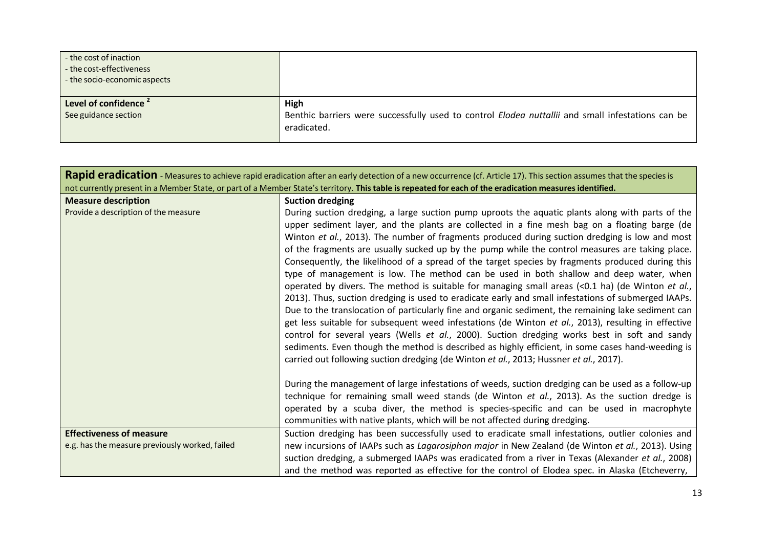| - the cost of inaction<br>- the cost-effectiveness<br>- the socio-economic aspects |                                                                                                                                 |
|------------------------------------------------------------------------------------|---------------------------------------------------------------------------------------------------------------------------------|
| Level of confidence<br>See guidance section                                        | High<br>Benthic barriers were successfully used to control <i>Elodea nuttallii</i> and small infestations can be<br>eradicated. |

| Rapid eradication - Measures to achieve rapid eradication after an early detection of a new occurrence (cf. Article 17). This section assumes that the species is |                                                                                                                                                                                                                                                                                                                                                                                                                                                                                                                                                                                                                                                                                                                                                                                                                                                                                                                                                                                                                                                                                                                                                                                                                                                                                                                                                                                                                                    |
|-------------------------------------------------------------------------------------------------------------------------------------------------------------------|------------------------------------------------------------------------------------------------------------------------------------------------------------------------------------------------------------------------------------------------------------------------------------------------------------------------------------------------------------------------------------------------------------------------------------------------------------------------------------------------------------------------------------------------------------------------------------------------------------------------------------------------------------------------------------------------------------------------------------------------------------------------------------------------------------------------------------------------------------------------------------------------------------------------------------------------------------------------------------------------------------------------------------------------------------------------------------------------------------------------------------------------------------------------------------------------------------------------------------------------------------------------------------------------------------------------------------------------------------------------------------------------------------------------------------|
|                                                                                                                                                                   | not currently present in a Member State, or part of a Member State's territory. This table is repeated for each of the eradication measures identified.                                                                                                                                                                                                                                                                                                                                                                                                                                                                                                                                                                                                                                                                                                                                                                                                                                                                                                                                                                                                                                                                                                                                                                                                                                                                            |
| <b>Measure description</b>                                                                                                                                        | <b>Suction dredging</b>                                                                                                                                                                                                                                                                                                                                                                                                                                                                                                                                                                                                                                                                                                                                                                                                                                                                                                                                                                                                                                                                                                                                                                                                                                                                                                                                                                                                            |
| Provide a description of the measure                                                                                                                              | During suction dredging, a large suction pump uproots the aquatic plants along with parts of the<br>upper sediment layer, and the plants are collected in a fine mesh bag on a floating barge (de<br>Winton et al., 2013). The number of fragments produced during suction dredging is low and most<br>of the fragments are usually sucked up by the pump while the control measures are taking place.<br>Consequently, the likelihood of a spread of the target species by fragments produced during this<br>type of management is low. The method can be used in both shallow and deep water, when<br>operated by divers. The method is suitable for managing small areas (<0.1 ha) (de Winton et al.,<br>2013). Thus, suction dredging is used to eradicate early and small infestations of submerged IAAPs.<br>Due to the translocation of particularly fine and organic sediment, the remaining lake sediment can<br>get less suitable for subsequent weed infestations (de Winton et al., 2013), resulting in effective<br>control for several years (Wells et al., 2000). Suction dredging works best in soft and sandy<br>sediments. Even though the method is described as highly efficient, in some cases hand-weeding is<br>carried out following suction dredging (de Winton et al., 2013; Hussner et al., 2017).<br>During the management of large infestations of weeds, suction dredging can be used as a follow-up |
|                                                                                                                                                                   | technique for remaining small weed stands (de Winton et al., 2013). As the suction dredge is<br>operated by a scuba diver, the method is species-specific and can be used in macrophyte                                                                                                                                                                                                                                                                                                                                                                                                                                                                                                                                                                                                                                                                                                                                                                                                                                                                                                                                                                                                                                                                                                                                                                                                                                            |
|                                                                                                                                                                   | communities with native plants, which will be not affected during dredging.                                                                                                                                                                                                                                                                                                                                                                                                                                                                                                                                                                                                                                                                                                                                                                                                                                                                                                                                                                                                                                                                                                                                                                                                                                                                                                                                                        |
| <b>Effectiveness of measure</b><br>e.g. has the measure previously worked, failed                                                                                 | Suction dredging has been successfully used to eradicate small infestations, outlier colonies and<br>new incursions of IAAPs such as Lagarosiphon major in New Zealand (de Winton et al., 2013). Using<br>suction dredging, a submerged IAAPs was eradicated from a river in Texas (Alexander et al., 2008)<br>and the method was reported as effective for the control of Elodea spec. in Alaska (Etcheverry,                                                                                                                                                                                                                                                                                                                                                                                                                                                                                                                                                                                                                                                                                                                                                                                                                                                                                                                                                                                                                     |
|                                                                                                                                                                   |                                                                                                                                                                                                                                                                                                                                                                                                                                                                                                                                                                                                                                                                                                                                                                                                                                                                                                                                                                                                                                                                                                                                                                                                                                                                                                                                                                                                                                    |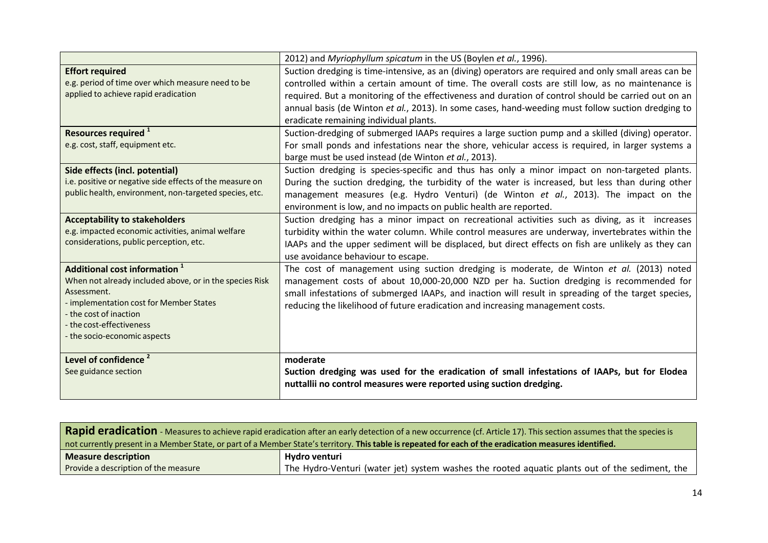|                                                          | 2012) and Myriophyllum spicatum in the US (Boylen et al., 1996).                                      |
|----------------------------------------------------------|-------------------------------------------------------------------------------------------------------|
| <b>Effort required</b>                                   | Suction dredging is time-intensive, as an (diving) operators are required and only small areas can be |
| e.g. period of time over which measure need to be        | controlled within a certain amount of time. The overall costs are still low, as no maintenance is     |
| applied to achieve rapid eradication                     | required. But a monitoring of the effectiveness and duration of control should be carried out on an   |
|                                                          | annual basis (de Winton et al., 2013). In some cases, hand-weeding must follow suction dredging to    |
|                                                          | eradicate remaining individual plants.                                                                |
| Resources required <sup>1</sup>                          | Suction-dredging of submerged IAAPs requires a large suction pump and a skilled (diving) operator.    |
| e.g. cost, staff, equipment etc.                         | For small ponds and infestations near the shore, vehicular access is required, in larger systems a    |
|                                                          | barge must be used instead (de Winton et al., 2013).                                                  |
| Side effects (incl. potential)                           | Suction dredging is species-specific and thus has only a minor impact on non-targeted plants.         |
| i.e. positive or negative side effects of the measure on | During the suction dredging, the turbidity of the water is increased, but less than during other      |
| public health, environment, non-targeted species, etc.   | management measures (e.g. Hydro Venturi) (de Winton et al., 2013). The impact on the                  |
|                                                          | environment is low, and no impacts on public health are reported.                                     |
| <b>Acceptability to stakeholders</b>                     | Suction dredging has a minor impact on recreational activities such as diving, as it increases        |
| e.g. impacted economic activities, animal welfare        | turbidity within the water column. While control measures are underway, invertebrates within the      |
| considerations, public perception, etc.                  | IAAPs and the upper sediment will be displaced, but direct effects on fish are unlikely as they can   |
|                                                          | use avoidance behaviour to escape.                                                                    |
| Additional cost information <sup>1</sup>                 | The cost of management using suction dredging is moderate, de Winton et al. (2013) noted              |
| When not already included above, or in the species Risk  | management costs of about 10,000-20,000 NZD per ha. Suction dredging is recommended for               |
| Assessment.<br>- implementation cost for Member States   | small infestations of submerged IAAPs, and inaction will result in spreading of the target species,   |
| - the cost of inaction                                   | reducing the likelihood of future eradication and increasing management costs.                        |
| - the cost-effectiveness                                 |                                                                                                       |
| - the socio-economic aspects                             |                                                                                                       |
|                                                          |                                                                                                       |
| Level of confidence <sup>2</sup>                         | moderate                                                                                              |
| See guidance section                                     | Suction dredging was used for the eradication of small infestations of IAAPs, but for Elodea          |
|                                                          | nuttallii no control measures were reported using suction dredging.                                   |

| Rapid eradication - Measures to achieve rapid eradication after an early detection of a new occurrence (cf. Article 17). This section assumes that the species is |                                                                                                |
|-------------------------------------------------------------------------------------------------------------------------------------------------------------------|------------------------------------------------------------------------------------------------|
| not currently present in a Member State, or part of a Member State's territory. This table is repeated for each of the eradication measures identified.           |                                                                                                |
| <b>Measure description</b>                                                                                                                                        | Hydro venturi                                                                                  |
| Provide a description of the measure                                                                                                                              | The Hydro-Venturi (water jet) system washes the rooted aguatic plants out of the sediment, the |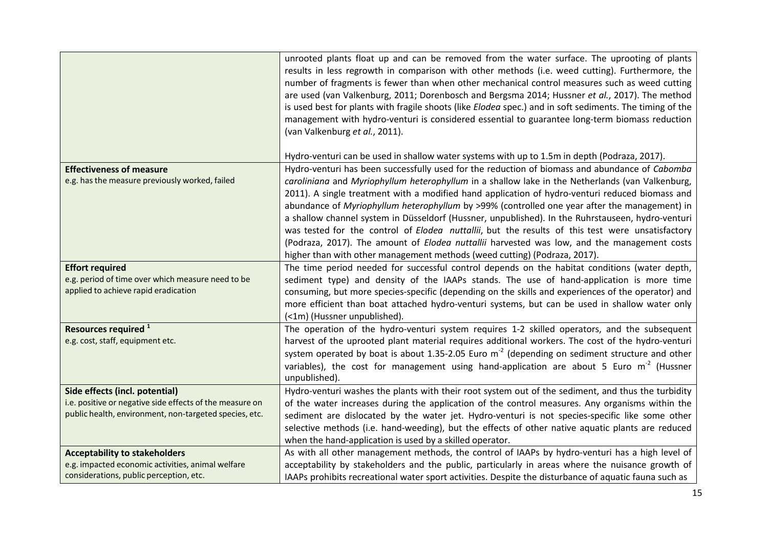|                                                                                                                    | unrooted plants float up and can be removed from the water surface. The uprooting of plants<br>results in less regrowth in comparison with other methods (i.e. weed cutting). Furthermore, the<br>number of fragments is fewer than when other mechanical control measures such as weed cutting<br>are used (van Valkenburg, 2011; Dorenbosch and Bergsma 2014; Hussner et al., 2017). The method<br>is used best for plants with fragile shoots (like Elodea spec.) and in soft sediments. The timing of the<br>management with hydro-venturi is considered essential to guarantee long-term biomass reduction<br>(van Valkenburg et al., 2011).                                                                                                                                                  |
|--------------------------------------------------------------------------------------------------------------------|----------------------------------------------------------------------------------------------------------------------------------------------------------------------------------------------------------------------------------------------------------------------------------------------------------------------------------------------------------------------------------------------------------------------------------------------------------------------------------------------------------------------------------------------------------------------------------------------------------------------------------------------------------------------------------------------------------------------------------------------------------------------------------------------------|
|                                                                                                                    | Hydro-venturi can be used in shallow water systems with up to 1.5m in depth (Podraza, 2017).                                                                                                                                                                                                                                                                                                                                                                                                                                                                                                                                                                                                                                                                                                       |
| <b>Effectiveness of measure</b><br>e.g. has the measure previously worked, failed                                  | Hydro-venturi has been successfully used for the reduction of biomass and abundance of Cabomba<br>caroliniana and Myriophyllum heterophyllum in a shallow lake in the Netherlands (van Valkenburg,<br>2011). A single treatment with a modified hand application of hydro-venturi reduced biomass and<br>abundance of Myriophyllum heterophyllum by >99% (controlled one year after the management) in<br>a shallow channel system in Düsseldorf (Hussner, unpublished). In the Ruhrstauseen, hydro-venturi<br>was tested for the control of Elodea nuttallii, but the results of this test were unsatisfactory<br>(Podraza, 2017). The amount of <i>Elodea nuttallii</i> harvested was low, and the management costs<br>higher than with other management methods (weed cutting) (Podraza, 2017). |
| <b>Effort required</b>                                                                                             | The time period needed for successful control depends on the habitat conditions (water depth,                                                                                                                                                                                                                                                                                                                                                                                                                                                                                                                                                                                                                                                                                                      |
| e.g. period of time over which measure need to be<br>applied to achieve rapid eradication                          | sediment type) and density of the IAAPs stands. The use of hand-application is more time<br>consuming, but more species-specific (depending on the skills and experiences of the operator) and<br>more efficient than boat attached hydro-venturi systems, but can be used in shallow water only<br>(<1m) (Hussner unpublished).                                                                                                                                                                                                                                                                                                                                                                                                                                                                   |
| Resources required <sup>1</sup>                                                                                    | The operation of the hydro-venturi system requires 1-2 skilled operators, and the subsequent                                                                                                                                                                                                                                                                                                                                                                                                                                                                                                                                                                                                                                                                                                       |
| e.g. cost, staff, equipment etc.                                                                                   | harvest of the uprooted plant material requires additional workers. The cost of the hydro-venturi                                                                                                                                                                                                                                                                                                                                                                                                                                                                                                                                                                                                                                                                                                  |
|                                                                                                                    | system operated by boat is about 1.35-2.05 Euro $m2$ (depending on sediment structure and other<br>variables), the cost for management using hand-application are about 5 Euro $m2$ (Hussner<br>unpublished).                                                                                                                                                                                                                                                                                                                                                                                                                                                                                                                                                                                      |
| Side effects (incl. potential)                                                                                     | Hydro-venturi washes the plants with their root system out of the sediment, and thus the turbidity                                                                                                                                                                                                                                                                                                                                                                                                                                                                                                                                                                                                                                                                                                 |
| i.e. positive or negative side effects of the measure on<br>public health, environment, non-targeted species, etc. | of the water increases during the application of the control measures. Any organisms within the                                                                                                                                                                                                                                                                                                                                                                                                                                                                                                                                                                                                                                                                                                    |
|                                                                                                                    | sediment are dislocated by the water jet. Hydro-venturi is not species-specific like some other<br>selective methods (i.e. hand-weeding), but the effects of other native aquatic plants are reduced<br>when the hand-application is used by a skilled operator.                                                                                                                                                                                                                                                                                                                                                                                                                                                                                                                                   |
| <b>Acceptability to stakeholders</b>                                                                               | As with all other management methods, the control of IAAPs by hydro-venturi has a high level of                                                                                                                                                                                                                                                                                                                                                                                                                                                                                                                                                                                                                                                                                                    |
| e.g. impacted economic activities, animal welfare                                                                  | acceptability by stakeholders and the public, particularly in areas where the nuisance growth of                                                                                                                                                                                                                                                                                                                                                                                                                                                                                                                                                                                                                                                                                                   |
| considerations, public perception, etc.                                                                            | IAAPs prohibits recreational water sport activities. Despite the disturbance of aquatic fauna such as                                                                                                                                                                                                                                                                                                                                                                                                                                                                                                                                                                                                                                                                                              |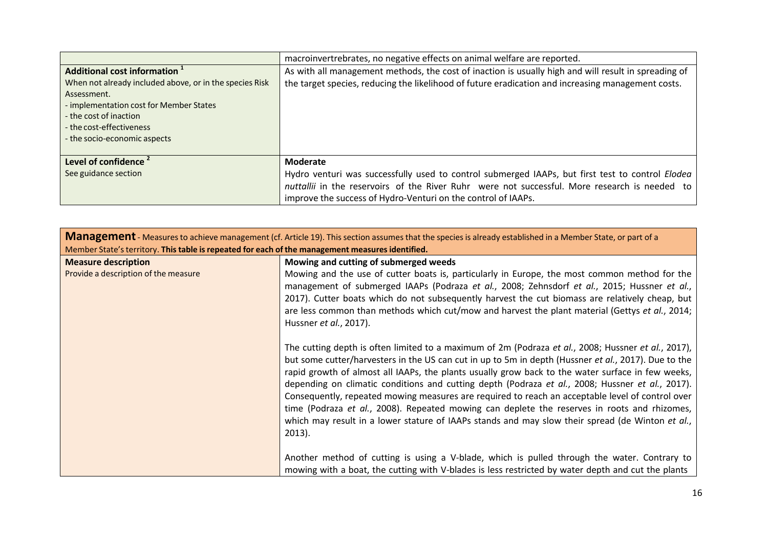|                                                         | macroinvertrebrates, no negative effects on animal welfare are reported.                             |
|---------------------------------------------------------|------------------------------------------------------------------------------------------------------|
| Additional cost information <sup>1</sup>                | As with all management methods, the cost of inaction is usually high and will result in spreading of |
| When not already included above, or in the species Risk | the target species, reducing the likelihood of future eradication and increasing management costs.   |
| Assessment.                                             |                                                                                                      |
| - implementation cost for Member States                 |                                                                                                      |
| - the cost of inaction                                  |                                                                                                      |
| - the cost-effectiveness                                |                                                                                                      |
| - the socio-economic aspects                            |                                                                                                      |
|                                                         |                                                                                                      |
| Level of confidence <sup>2</sup>                        | Moderate                                                                                             |
| See guidance section                                    | Hydro venturi was successfully used to control submerged IAAPs, but first test to control Elodea     |
|                                                         | nuttallii in the reservoirs of the River Ruhr were not successful. More research is needed to        |
|                                                         | improve the success of Hydro-Venturi on the control of IAAPs.                                        |

| Member State's territory. This table is repeated for each of the management measures identified.<br><b>Measure description</b> | Mowing and cutting of submerged weeds                                                                                                                                                                                                                                                                                                                                                                                                                                                                                                                                                                                                                                                                                                                                                                                                  |
|--------------------------------------------------------------------------------------------------------------------------------|----------------------------------------------------------------------------------------------------------------------------------------------------------------------------------------------------------------------------------------------------------------------------------------------------------------------------------------------------------------------------------------------------------------------------------------------------------------------------------------------------------------------------------------------------------------------------------------------------------------------------------------------------------------------------------------------------------------------------------------------------------------------------------------------------------------------------------------|
|                                                                                                                                |                                                                                                                                                                                                                                                                                                                                                                                                                                                                                                                                                                                                                                                                                                                                                                                                                                        |
|                                                                                                                                |                                                                                                                                                                                                                                                                                                                                                                                                                                                                                                                                                                                                                                                                                                                                                                                                                                        |
| Provide a description of the measure                                                                                           | Mowing and the use of cutter boats is, particularly in Europe, the most common method for the<br>management of submerged IAAPs (Podraza et al., 2008; Zehnsdorf et al., 2015; Hussner et al.,<br>2017). Cutter boats which do not subsequently harvest the cut biomass are relatively cheap, but<br>are less common than methods which cut/mow and harvest the plant material (Gettys et al., 2014;<br>Hussner et al., 2017).                                                                                                                                                                                                                                                                                                                                                                                                          |
|                                                                                                                                | The cutting depth is often limited to a maximum of 2m (Podraza et al., 2008; Hussner et al., 2017),<br>but some cutter/harvesters in the US can cut in up to 5m in depth (Hussner et al., 2017). Due to the<br>rapid growth of almost all IAAPs, the plants usually grow back to the water surface in few weeks,<br>depending on climatic conditions and cutting depth (Podraza et al., 2008; Hussner et al., 2017).<br>Consequently, repeated mowing measures are required to reach an acceptable level of control over<br>time (Podraza et al., 2008). Repeated mowing can deplete the reserves in roots and rhizomes,<br>which may result in a lower stature of IAAPs stands and may slow their spread (de Winton et al.,<br>2013).<br>Another method of cutting is using a V-blade, which is pulled through the water. Contrary to |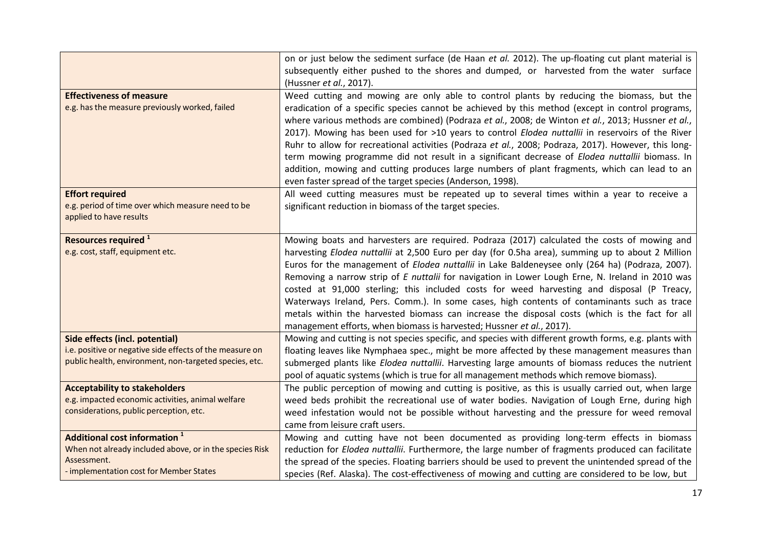|                                                                                                                                                               | on or just below the sediment surface (de Haan et al. 2012). The up-floating cut plant material is<br>subsequently either pushed to the shores and dumped, or harvested from the water surface<br>(Hussner et al., 2017).                                                                                                                                                                                                                                                                                                                                                                                                                                                                                                                                                              |
|---------------------------------------------------------------------------------------------------------------------------------------------------------------|----------------------------------------------------------------------------------------------------------------------------------------------------------------------------------------------------------------------------------------------------------------------------------------------------------------------------------------------------------------------------------------------------------------------------------------------------------------------------------------------------------------------------------------------------------------------------------------------------------------------------------------------------------------------------------------------------------------------------------------------------------------------------------------|
| <b>Effectiveness of measure</b><br>e.g. has the measure previously worked, failed                                                                             | Weed cutting and mowing are only able to control plants by reducing the biomass, but the<br>eradication of a specific species cannot be achieved by this method (except in control programs,<br>where various methods are combined) (Podraza et al., 2008; de Winton et al., 2013; Hussner et al.,<br>2017). Mowing has been used for >10 years to control Elodea nuttallii in reservoirs of the River<br>Ruhr to allow for recreational activities (Podraza et al., 2008; Podraza, 2017). However, this long-<br>term mowing programme did not result in a significant decrease of Elodea nuttallii biomass. In<br>addition, mowing and cutting produces large numbers of plant fragments, which can lead to an<br>even faster spread of the target species (Anderson, 1998).         |
| <b>Effort required</b><br>e.g. period of time over which measure need to be<br>applied to have results                                                        | All weed cutting measures must be repeated up to several times within a year to receive a<br>significant reduction in biomass of the target species.                                                                                                                                                                                                                                                                                                                                                                                                                                                                                                                                                                                                                                   |
| Resources required <sup>1</sup><br>e.g. cost, staff, equipment etc.                                                                                           | Mowing boats and harvesters are required. Podraza (2017) calculated the costs of mowing and<br>harvesting Elodea nuttallii at 2,500 Euro per day (for 0.5ha area), summing up to about 2 Million<br>Euros for the management of <i>Elodea nuttallii</i> in Lake Baldeneysee only (264 ha) (Podraza, 2007).<br>Removing a narrow strip of E nuttalii for navigation in Lower Lough Erne, N. Ireland in 2010 was<br>costed at 91,000 sterling; this included costs for weed harvesting and disposal (P Treacy,<br>Waterways Ireland, Pers. Comm.). In some cases, high contents of contaminants such as trace<br>metals within the harvested biomass can increase the disposal costs (which is the fact for all<br>management efforts, when biomass is harvested; Hussner et al., 2017). |
| Side effects (incl. potential)<br>i.e. positive or negative side effects of the measure on<br>public health, environment, non-targeted species, etc.          | Mowing and cutting is not species specific, and species with different growth forms, e.g. plants with<br>floating leaves like Nymphaea spec., might be more affected by these management measures than<br>submerged plants like Elodea nuttallii. Harvesting large amounts of biomass reduces the nutrient<br>pool of aquatic systems (which is true for all management methods which remove biomass).                                                                                                                                                                                                                                                                                                                                                                                 |
| <b>Acceptability to stakeholders</b><br>e.g. impacted economic activities, animal welfare<br>considerations, public perception, etc.                          | The public perception of mowing and cutting is positive, as this is usually carried out, when large<br>weed beds prohibit the recreational use of water bodies. Navigation of Lough Erne, during high<br>weed infestation would not be possible without harvesting and the pressure for weed removal<br>came from leisure craft users.                                                                                                                                                                                                                                                                                                                                                                                                                                                 |
| Additional cost information <sup>1</sup><br>When not already included above, or in the species Risk<br>Assessment.<br>- implementation cost for Member States | Mowing and cutting have not been documented as providing long-term effects in biomass<br>reduction for Elodea nuttallii. Furthermore, the large number of fragments produced can facilitate<br>the spread of the species. Floating barriers should be used to prevent the unintended spread of the<br>species (Ref. Alaska). The cost-effectiveness of mowing and cutting are considered to be low, but                                                                                                                                                                                                                                                                                                                                                                                |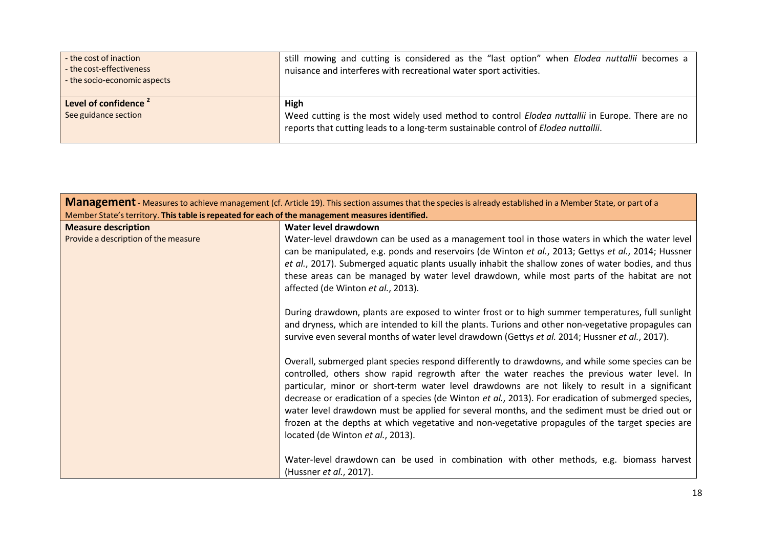| - the cost of inaction<br>- the cost-effectiveness<br>- the socio-economic aspects | still mowing and cutting is considered as the "last option" when Elodea nuttallii becomes a<br>nuisance and interferes with recreational water sport activities.                              |
|------------------------------------------------------------------------------------|-----------------------------------------------------------------------------------------------------------------------------------------------------------------------------------------------|
| Level of confidence <sup>2</sup><br>See guidance section                           | High<br>Weed cutting is the most widely used method to control Elodea nuttallii in Europe. There are no<br>reports that cutting leads to a long-term sustainable control of Elodea nuttallii. |

| <b>Management</b> - Measures to achieve management (cf. Article 19). This section assumes that the species is already established in a Member State, or part of a |                                                                                                                                                                                                                                                                                                                                                                                                                                                                                                                                                                                                                                                       |
|-------------------------------------------------------------------------------------------------------------------------------------------------------------------|-------------------------------------------------------------------------------------------------------------------------------------------------------------------------------------------------------------------------------------------------------------------------------------------------------------------------------------------------------------------------------------------------------------------------------------------------------------------------------------------------------------------------------------------------------------------------------------------------------------------------------------------------------|
| Member State's territory. This table is repeated for each of the management measures identified.                                                                  |                                                                                                                                                                                                                                                                                                                                                                                                                                                                                                                                                                                                                                                       |
| <b>Measure description</b>                                                                                                                                        | Water level drawdown                                                                                                                                                                                                                                                                                                                                                                                                                                                                                                                                                                                                                                  |
| Provide a description of the measure                                                                                                                              | Water-level drawdown can be used as a management tool in those waters in which the water level<br>can be manipulated, e.g. ponds and reservoirs (de Winton et al., 2013; Gettys et al., 2014; Hussner<br>et al., 2017). Submerged aquatic plants usually inhabit the shallow zones of water bodies, and thus<br>these areas can be managed by water level drawdown, while most parts of the habitat are not<br>affected (de Winton et al., 2013).                                                                                                                                                                                                     |
|                                                                                                                                                                   | During drawdown, plants are exposed to winter frost or to high summer temperatures, full sunlight<br>and dryness, which are intended to kill the plants. Turions and other non-vegetative propagules can<br>survive even several months of water level drawdown (Gettys et al. 2014; Hussner et al., 2017).                                                                                                                                                                                                                                                                                                                                           |
|                                                                                                                                                                   | Overall, submerged plant species respond differently to drawdowns, and while some species can be<br>controlled, others show rapid regrowth after the water reaches the previous water level. In<br>particular, minor or short-term water level drawdowns are not likely to result in a significant<br>decrease or eradication of a species (de Winton et al., 2013). For eradication of submerged species,<br>water level drawdown must be applied for several months, and the sediment must be dried out or<br>frozen at the depths at which vegetative and non-vegetative propagules of the target species are<br>located (de Winton et al., 2013). |
|                                                                                                                                                                   | Water-level drawdown can be used in combination with other methods, e.g. biomass harvest<br>(Hussner et al., 2017).                                                                                                                                                                                                                                                                                                                                                                                                                                                                                                                                   |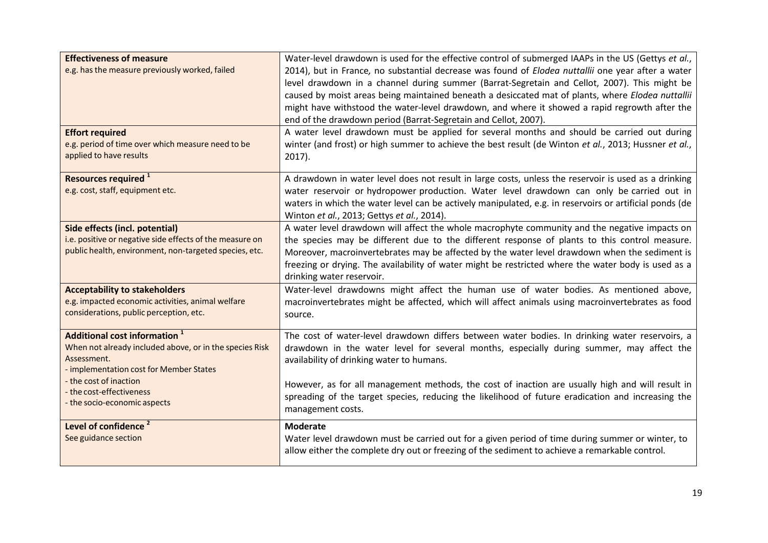| <b>Effectiveness of measure</b><br>e.g. has the measure previously worked, failed<br><b>Effort required</b><br>e.g. period of time over which measure need to be<br>applied to have results                                                         | Water-level drawdown is used for the effective control of submerged IAAPs in the US (Gettys et al.,<br>2014), but in France, no substantial decrease was found of Elodea nuttallii one year after a water<br>level drawdown in a channel during summer (Barrat-Segretain and Cellot, 2007). This might be<br>caused by moist areas being maintained beneath a desiccated mat of plants, where Elodea nuttallii<br>might have withstood the water-level drawdown, and where it showed a rapid regrowth after the<br>end of the drawdown period (Barrat-Segretain and Cellot, 2007).<br>A water level drawdown must be applied for several months and should be carried out during<br>winter (and frost) or high summer to achieve the best result (de Winton et al., 2013; Hussner et al.,<br>2017). |
|-----------------------------------------------------------------------------------------------------------------------------------------------------------------------------------------------------------------------------------------------------|-----------------------------------------------------------------------------------------------------------------------------------------------------------------------------------------------------------------------------------------------------------------------------------------------------------------------------------------------------------------------------------------------------------------------------------------------------------------------------------------------------------------------------------------------------------------------------------------------------------------------------------------------------------------------------------------------------------------------------------------------------------------------------------------------------|
| Resources required <sup>1</sup><br>e.g. cost, staff, equipment etc.                                                                                                                                                                                 | A drawdown in water level does not result in large costs, unless the reservoir is used as a drinking<br>water reservoir or hydropower production. Water level drawdown can only be carried out in<br>waters in which the water level can be actively manipulated, e.g. in reservoirs or artificial ponds (de<br>Winton et al., 2013; Gettys et al., 2014).                                                                                                                                                                                                                                                                                                                                                                                                                                          |
| Side effects (incl. potential)<br>i.e. positive or negative side effects of the measure on<br>public health, environment, non-targeted species, etc.                                                                                                | A water level drawdown will affect the whole macrophyte community and the negative impacts on<br>the species may be different due to the different response of plants to this control measure.<br>Moreover, macroinvertebrates may be affected by the water level drawdown when the sediment is<br>freezing or drying. The availability of water might be restricted where the water body is used as a<br>drinking water reservoir.                                                                                                                                                                                                                                                                                                                                                                 |
| <b>Acceptability to stakeholders</b><br>e.g. impacted economic activities, animal welfare<br>considerations, public perception, etc.                                                                                                                | Water-level drawdowns might affect the human use of water bodies. As mentioned above,<br>macroinvertebrates might be affected, which will affect animals using macroinvertebrates as food<br>source.                                                                                                                                                                                                                                                                                                                                                                                                                                                                                                                                                                                                |
| Additional cost information <sup>1</sup><br>When not already included above, or in the species Risk<br>Assessment.<br>- implementation cost for Member States<br>- the cost of inaction<br>- the cost-effectiveness<br>- the socio-economic aspects | The cost of water-level drawdown differs between water bodies. In drinking water reservoirs, a<br>drawdown in the water level for several months, especially during summer, may affect the<br>availability of drinking water to humans.<br>However, as for all management methods, the cost of inaction are usually high and will result in<br>spreading of the target species, reducing the likelihood of future eradication and increasing the<br>management costs.                                                                                                                                                                                                                                                                                                                               |
| Level of confidence <sup>2</sup><br>See guidance section                                                                                                                                                                                            | <b>Moderate</b><br>Water level drawdown must be carried out for a given period of time during summer or winter, to<br>allow either the complete dry out or freezing of the sediment to achieve a remarkable control.                                                                                                                                                                                                                                                                                                                                                                                                                                                                                                                                                                                |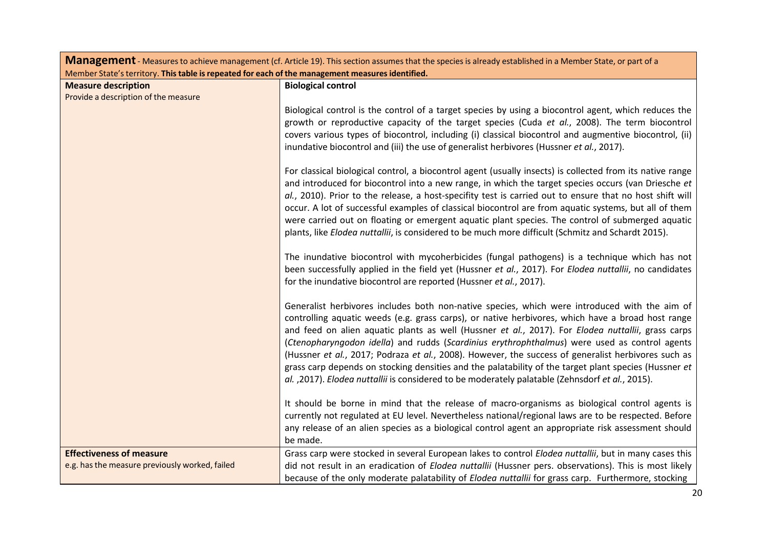| <b>Management</b> - Measures to achieve management (cf. Article 19). This section assumes that the species is already established in a Member State, or part of a |                                                                                                                                                                                                                                                                                                                                                                                                                                                                                                                                                                                                                                                                                                                               |
|-------------------------------------------------------------------------------------------------------------------------------------------------------------------|-------------------------------------------------------------------------------------------------------------------------------------------------------------------------------------------------------------------------------------------------------------------------------------------------------------------------------------------------------------------------------------------------------------------------------------------------------------------------------------------------------------------------------------------------------------------------------------------------------------------------------------------------------------------------------------------------------------------------------|
| Member State's territory. This table is repeated for each of the management measures identified.                                                                  |                                                                                                                                                                                                                                                                                                                                                                                                                                                                                                                                                                                                                                                                                                                               |
| <b>Measure description</b>                                                                                                                                        | <b>Biological control</b>                                                                                                                                                                                                                                                                                                                                                                                                                                                                                                                                                                                                                                                                                                     |
| Provide a description of the measure                                                                                                                              |                                                                                                                                                                                                                                                                                                                                                                                                                                                                                                                                                                                                                                                                                                                               |
|                                                                                                                                                                   | Biological control is the control of a target species by using a biocontrol agent, which reduces the<br>growth or reproductive capacity of the target species (Cuda et al., 2008). The term biocontrol<br>covers various types of biocontrol, including (i) classical biocontrol and augmentive biocontrol, (ii)<br>inundative biocontrol and (iii) the use of generalist herbivores (Hussner et al., 2017).                                                                                                                                                                                                                                                                                                                  |
|                                                                                                                                                                   | For classical biological control, a biocontrol agent (usually insects) is collected from its native range<br>and introduced for biocontrol into a new range, in which the target species occurs (van Driesche et<br>al., 2010). Prior to the release, a host-specifity test is carried out to ensure that no host shift will<br>occur. A lot of successful examples of classical biocontrol are from aquatic systems, but all of them<br>were carried out on floating or emergent aquatic plant species. The control of submerged aquatic<br>plants, like Elodea nuttallii, is considered to be much more difficult (Schmitz and Schardt 2015).                                                                               |
|                                                                                                                                                                   | The inundative biocontrol with mycoherbicides (fungal pathogens) is a technique which has not<br>been successfully applied in the field yet (Hussner et al., 2017). For Elodea nuttallii, no candidates<br>for the inundative biocontrol are reported (Hussner et al., 2017).                                                                                                                                                                                                                                                                                                                                                                                                                                                 |
|                                                                                                                                                                   | Generalist herbivores includes both non-native species, which were introduced with the aim of<br>controlling aquatic weeds (e.g. grass carps), or native herbivores, which have a broad host range<br>and feed on alien aquatic plants as well (Hussner et al., 2017). For Elodea nuttallii, grass carps<br>(Ctenopharyngodon idella) and rudds (Scardinius erythrophthalmus) were used as control agents<br>(Hussner et al., 2017; Podraza et al., 2008). However, the success of generalist herbivores such as<br>grass carp depends on stocking densities and the palatability of the target plant species (Hussner et<br>al. , 2017). Elodea nuttallii is considered to be moderately palatable (Zehnsdorf et al., 2015). |
|                                                                                                                                                                   | It should be borne in mind that the release of macro-organisms as biological control agents is<br>currently not regulated at EU level. Nevertheless national/regional laws are to be respected. Before<br>any release of an alien species as a biological control agent an appropriate risk assessment should<br>be made.                                                                                                                                                                                                                                                                                                                                                                                                     |
| <b>Effectiveness of measure</b>                                                                                                                                   | Grass carp were stocked in several European lakes to control Elodea nuttallii, but in many cases this                                                                                                                                                                                                                                                                                                                                                                                                                                                                                                                                                                                                                         |
| e.g. has the measure previously worked, failed                                                                                                                    | did not result in an eradication of Elodea nuttallii (Hussner pers. observations). This is most likely                                                                                                                                                                                                                                                                                                                                                                                                                                                                                                                                                                                                                        |
|                                                                                                                                                                   | because of the only moderate palatability of Elodea nuttallii for grass carp. Furthermore, stocking                                                                                                                                                                                                                                                                                                                                                                                                                                                                                                                                                                                                                           |

÷.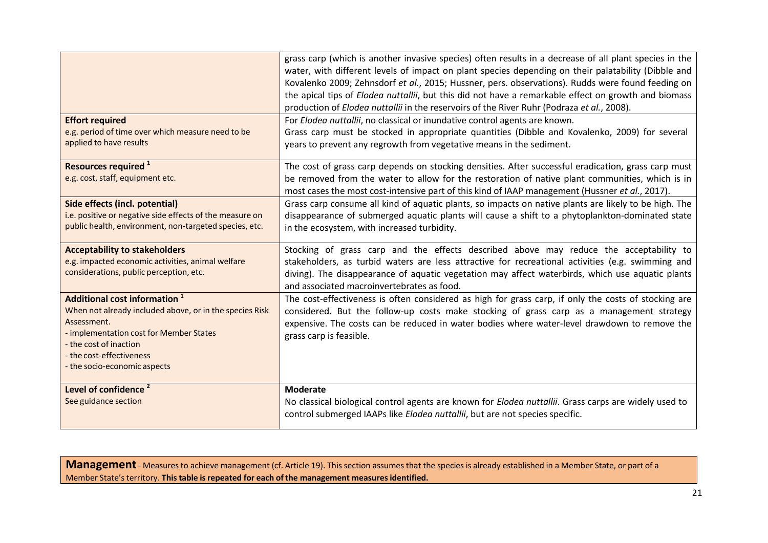| <b>Effort required</b><br>e.g. period of time over which measure need to be<br>applied to have results                                                                                                                                              | grass carp (which is another invasive species) often results in a decrease of all plant species in the<br>water, with different levels of impact on plant species depending on their palatability (Dibble and<br>Kovalenko 2009; Zehnsdorf et al., 2015; Hussner, pers. observations). Rudds were found feeding on<br>the apical tips of Elodea nuttallii, but this did not have a remarkable effect on growth and biomass<br>production of Elodea nuttallii in the reservoirs of the River Ruhr (Podraza et al., 2008).<br>For Elodea nuttallii, no classical or inundative control agents are known.<br>Grass carp must be stocked in appropriate quantities (Dibble and Kovalenko, 2009) for several<br>years to prevent any regrowth from vegetative means in the sediment. |
|-----------------------------------------------------------------------------------------------------------------------------------------------------------------------------------------------------------------------------------------------------|---------------------------------------------------------------------------------------------------------------------------------------------------------------------------------------------------------------------------------------------------------------------------------------------------------------------------------------------------------------------------------------------------------------------------------------------------------------------------------------------------------------------------------------------------------------------------------------------------------------------------------------------------------------------------------------------------------------------------------------------------------------------------------|
| Resources required <sup>1</sup><br>e.g. cost, staff, equipment etc.                                                                                                                                                                                 | The cost of grass carp depends on stocking densities. After successful eradication, grass carp must<br>be removed from the water to allow for the restoration of native plant communities, which is in<br>most cases the most cost-intensive part of this kind of IAAP management (Hussner et al., 2017).                                                                                                                                                                                                                                                                                                                                                                                                                                                                       |
| Side effects (incl. potential)<br>i.e. positive or negative side effects of the measure on<br>public health, environment, non-targeted species, etc.                                                                                                | Grass carp consume all kind of aquatic plants, so impacts on native plants are likely to be high. The<br>disappearance of submerged aquatic plants will cause a shift to a phytoplankton-dominated state<br>in the ecosystem, with increased turbidity.                                                                                                                                                                                                                                                                                                                                                                                                                                                                                                                         |
| <b>Acceptability to stakeholders</b><br>e.g. impacted economic activities, animal welfare<br>considerations, public perception, etc.                                                                                                                | Stocking of grass carp and the effects described above may reduce the acceptability to<br>stakeholders, as turbid waters are less attractive for recreational activities (e.g. swimming and<br>diving). The disappearance of aquatic vegetation may affect waterbirds, which use aquatic plants<br>and associated macroinvertebrates as food.                                                                                                                                                                                                                                                                                                                                                                                                                                   |
| Additional cost information <sup>1</sup><br>When not already included above, or in the species Risk<br>Assessment.<br>- implementation cost for Member States<br>- the cost of inaction<br>- the cost-effectiveness<br>- the socio-economic aspects | The cost-effectiveness is often considered as high for grass carp, if only the costs of stocking are<br>considered. But the follow-up costs make stocking of grass carp as a management strategy<br>expensive. The costs can be reduced in water bodies where water-level drawdown to remove the<br>grass carp is feasible.                                                                                                                                                                                                                                                                                                                                                                                                                                                     |
| Level of confidence <sup>2</sup><br>See guidance section                                                                                                                                                                                            | <b>Moderate</b><br>No classical biological control agents are known for Elodea nuttallii. Grass carps are widely used to<br>control submerged IAAPs like Elodea nuttallii, but are not species specific.                                                                                                                                                                                                                                                                                                                                                                                                                                                                                                                                                                        |

**Management** - Measures to achieve management (cf. Article 19). This section assumes that the species is already established in a Member State, or part of a Member State'sterritory. **Thistable isrepeated for each of the management measures identified.**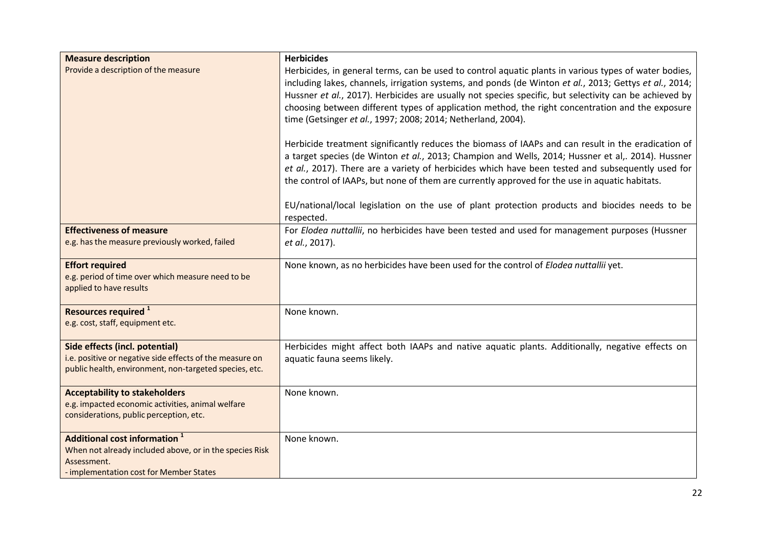| <b>Measure description</b><br>Provide a description of the measure                                                                                                   | <b>Herbicides</b><br>Herbicides, in general terms, can be used to control aquatic plants in various types of water bodies,<br>including lakes, channels, irrigation systems, and ponds (de Winton et al., 2013; Gettys et al., 2014;<br>Hussner et al., 2017). Herbicides are usually not species specific, but selectivity can be achieved by<br>choosing between different types of application method, the right concentration and the exposure<br>time (Getsinger et al., 1997; 2008; 2014; Netherland, 2004).<br>Herbicide treatment significantly reduces the biomass of IAAPs and can result in the eradication of<br>a target species (de Winton et al., 2013; Champion and Wells, 2014; Hussner et al,. 2014). Hussner |
|----------------------------------------------------------------------------------------------------------------------------------------------------------------------|---------------------------------------------------------------------------------------------------------------------------------------------------------------------------------------------------------------------------------------------------------------------------------------------------------------------------------------------------------------------------------------------------------------------------------------------------------------------------------------------------------------------------------------------------------------------------------------------------------------------------------------------------------------------------------------------------------------------------------|
|                                                                                                                                                                      | et al., 2017). There are a variety of herbicides which have been tested and subsequently used for<br>the control of IAAPs, but none of them are currently approved for the use in aquatic habitats.<br>EU/national/local legislation on the use of plant protection products and biocides needs to be<br>respected.                                                                                                                                                                                                                                                                                                                                                                                                             |
| <b>Effectiveness of measure</b><br>e.g. has the measure previously worked, failed                                                                                    | For Elodea nuttallii, no herbicides have been tested and used for management purposes (Hussner<br>et al., 2017).                                                                                                                                                                                                                                                                                                                                                                                                                                                                                                                                                                                                                |
| <b>Effort required</b><br>e.g. period of time over which measure need to be<br>applied to have results                                                               | None known, as no herbicides have been used for the control of Elodea nuttallii yet.                                                                                                                                                                                                                                                                                                                                                                                                                                                                                                                                                                                                                                            |
| Resources required <sup>1</sup><br>e.g. cost, staff, equipment etc.                                                                                                  | None known.                                                                                                                                                                                                                                                                                                                                                                                                                                                                                                                                                                                                                                                                                                                     |
| Side effects (incl. potential)<br>i.e. positive or negative side effects of the measure on<br>public health, environment, non-targeted species, etc.                 | Herbicides might affect both IAAPs and native aquatic plants. Additionally, negative effects on<br>aquatic fauna seems likely.                                                                                                                                                                                                                                                                                                                                                                                                                                                                                                                                                                                                  |
| <b>Acceptability to stakeholders</b><br>e.g. impacted economic activities, animal welfare<br>considerations, public perception, etc.                                 | None known.                                                                                                                                                                                                                                                                                                                                                                                                                                                                                                                                                                                                                                                                                                                     |
| <b>Additional cost information</b> <sup>1</sup><br>When not already included above, or in the species Risk<br>Assessment.<br>- implementation cost for Member States | None known.                                                                                                                                                                                                                                                                                                                                                                                                                                                                                                                                                                                                                                                                                                                     |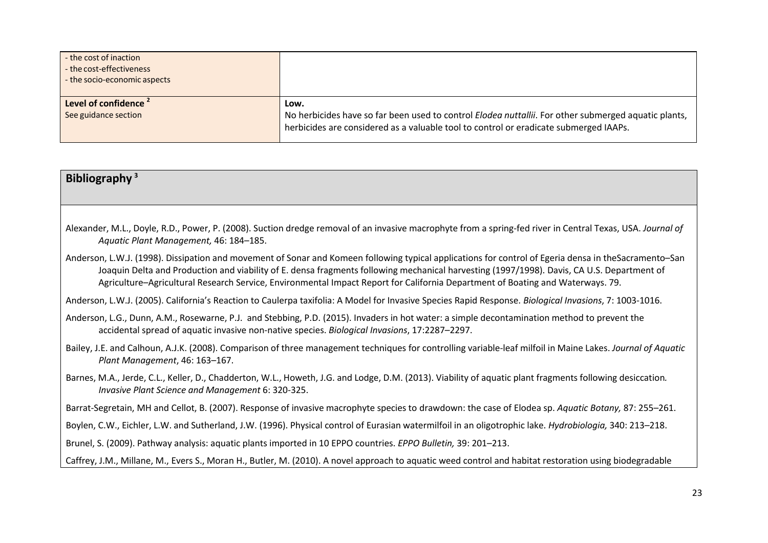| - the cost of inaction<br>- the cost-effectiveness<br>- the socio-economic aspects |                                                                                                                                                                                                       |
|------------------------------------------------------------------------------------|-------------------------------------------------------------------------------------------------------------------------------------------------------------------------------------------------------|
| Level of confidence 2<br>See guidance section                                      | Low.<br>No herbicides have so far been used to control Elodea nuttallii. For other submerged aquatic plants,<br>herbicides are considered as a valuable tool to control or eradicate submerged IAAPs. |

## **Bibliography <sup>3</sup>**

- Alexander, M.L., Doyle, R.D., Power, P. (2008). Suction dredge removal of an invasive macrophyte from a spring-fed river in Central Texas, USA. *Journal of Aquatic Plant Management,* 46: 184–185.
- Anderson, L.W.J. (1998). Dissipation and movement of Sonar and Komeen following typical applications for control of Egeria densa in theSacramento–San Joaquin Delta and Production and viability of E. densa fragments following mechanical harvesting (1997/1998). Davis, CA U.S. Department of Agriculture–Agricultural Research Service, Environmental Impact Report for California Department of Boating and Waterways. 79.

Anderson, L.W.J. (2005). California's Reaction to Caulerpa taxifolia: A Model for Invasive Species Rapid Response. *Biological Invasions*, 7: 1003-1016.

- Anderson, L.G., Dunn, A.M., Rosewarne, P.J. and Stebbing, P.D. (2015). Invaders in hot water: a simple decontamination method to prevent the accidental spread of aquatic invasive non-native species. *Biological Invasions*, 17:2287–2297.
- Bailey, J.E. and Calhoun, A.J.K. (2008). Comparison of three management techniques for controlling variable-leaf milfoil in Maine Lakes. *Journal of Aquatic Plant Management*, 46: 163–167.
- Barnes, M.A., Jerde, C.L., Keller, D., Chadderton, W.L., Howeth, J.G. and Lodge, D.M. (2013). Viability of aquatic plant fragments following desiccation*. Invasive Plant Science and Management* 6: 320-325.

Barrat-Segretain, MH and Cellot, B. (2007). Response of invasive macrophyte species to drawdown: the case of Elodea sp. *Aquatic Botany,* 87: 255–261.

Boylen, C.W., Eichler, L.W. and Sutherland, J.W. (1996). Physical control of Eurasian watermilfoil in an oligotrophic lake. *Hydrobiologia,* 340: 213–218.

Brunel, S. (2009). Pathway analysis: aquatic plants imported in 10 EPPO countries. *EPPO Bulletin,* 39: 201–213.

Caffrey, J.M., Millane, M., Evers S., Moran H., Butler, M. (2010). A novel approach to aquatic weed control and habitat restoration using biodegradable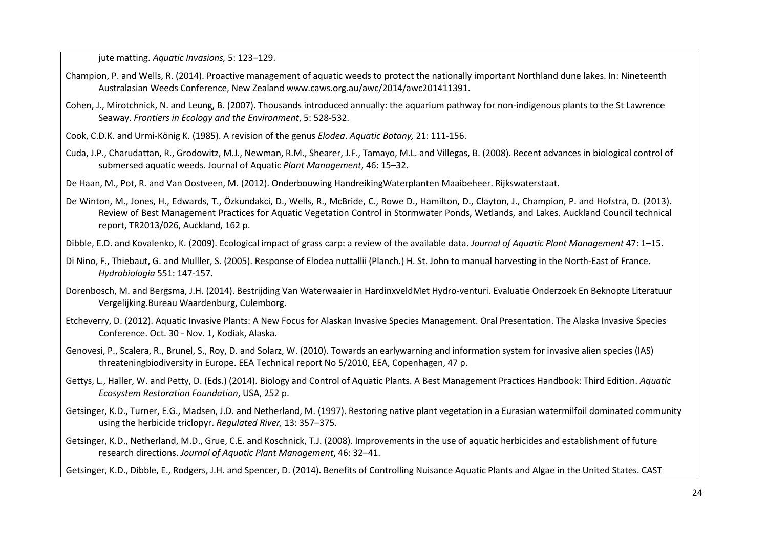jute matting. *Aquatic Invasions,* 5: 123–129.

- Champion, P. and Wells, R. (2014). Proactive management of aquatic weeds to protect the nationally important Northland dune lakes. In: Nineteenth Australasian Weeds Conference, New Zealand [www.caws.org.au/awc/2014/awc201411391.](http://www.caws.org.au/awc/2014/awc201411391)
- Cohen, J., Mirotchnick, N. and Leung, B. (2007). Thousands introduced annually: the aquarium pathway for non-indigenous plants to the St Lawrence Seaway. *Frontiers in Ecology and the Environment*, 5: 528-532.
- Cook, C.D.K. and Urmi-König K. (1985). A revision of the genus *Elodea*. *Aquatic Botany,* 21: 111-156.
- Cuda, J.P., Charudattan, R., Grodowitz, M.J., Newman, R.M., Shearer, J.F., Tamayo, M.L. and Villegas, B. (2008). Recent advances in biological control of submersed aquatic weeds. Journal of Aquatic *Plant Management*, 46: 15–32.
- De Haan, M., Pot, R. and Van Oostveen, M. (2012). Onderbouwing HandreikingWaterplanten Maaibeheer. Rijkswaterstaat.
- De Winton, M., Jones, H., Edwards, T., Özkundakci, D., Wells, R., McBride, C., Rowe D., Hamilton, D., Clayton, J., Champion, P. and Hofstra, D. (2013). Review of Best Management Practices for Aquatic Vegetation Control in Stormwater Ponds, Wetlands, and Lakes. Auckland Council technical report, TR2013/026, Auckland, 162 p.

Dibble, E.D. and Kovalenko, K. (2009). Ecological impact of grass carp: a review of the available data. *Journal of Aquatic Plant Management* 47: 1–15.

- Di Nino, F., Thiebaut, G. and Mulller, S. (2005). Response of Elodea nuttallii (Planch.) H. St. John to manual harvesting in the North-East of France. *Hydrobiologia* 551: 147-157.
- Dorenbosch, M. and Bergsma, J.H. (2014). Bestrijding Van Waterwaaier in HardinxveldMet Hydro-venturi. Evaluatie Onderzoek En Beknopte Literatuur Vergelijking.Bureau Waardenburg, Culemborg.
- Etcheverry, D. (2012). Aquatic Invasive Plants: A New Focus for Alaskan Invasive Species Management. Oral Presentation. The Alaska Invasive Species Conference. Oct. 30 - Nov. 1, Kodiak, Alaska.
- Genovesi, P., Scalera, R., Brunel, S., Roy, D. and Solarz, W. (2010). Towards an earlywarning and information system for invasive alien species (IAS) threateningbiodiversity in Europe. EEA Technical report No 5/2010, EEA, Copenhagen, 47 p.
- Gettys, L., Haller, W. and Petty, D. (Eds.) (2014). Biology and Control of Aquatic Plants. A Best Management Practices Handbook: Third Edition. *Aquatic Ecosystem Restoration Foundation*, USA, 252 p.
- Getsinger, K.D., Turner, E.G., Madsen, J.D. and Netherland, M. (1997). Restoring native plant vegetation in a Eurasian watermilfoil dominated community using the herbicide triclopyr. *Regulated River,* 13: 357–375.
- Getsinger, K.D., Netherland, M.D., Grue, C.E. and Koschnick, T.J. (2008). Improvements in the use of aquatic herbicides and establishment of future research directions. *Journal of Aquatic Plant Management*, 46: 32–41.

Getsinger, K.D., Dibble, E., Rodgers, J.H. and Spencer, D. (2014). Benefits of Controlling Nuisance Aquatic Plants and Algae in the United States. CAST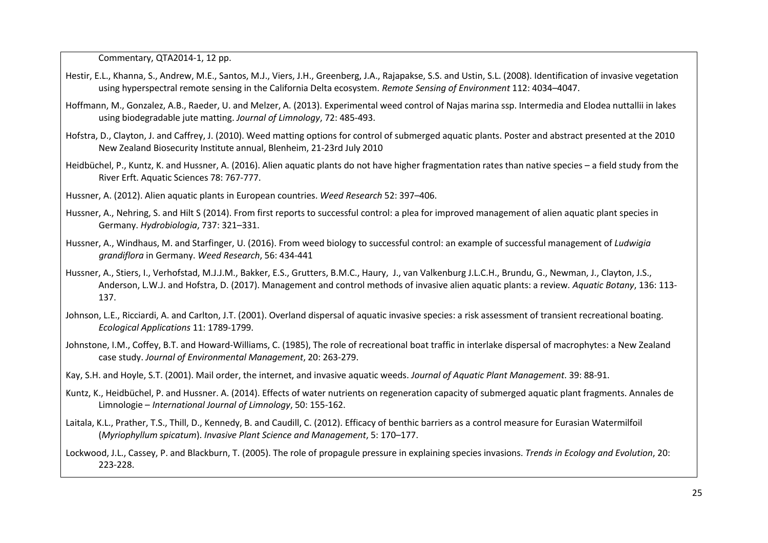Commentary, QTA2014-1, 12 pp.

- Hestir, E.L., Khanna, S., Andrew, M.E., Santos, M.J., Viers, J.H., Greenberg, J.A., Rajapakse, S.S. and Ustin, S.L. (2008). Identification of invasive vegetation using hyperspectral remote sensing in the California Delta ecosystem. *Remote Sensing of Environment* 112: 4034–4047.
- Hoffmann, M., Gonzalez, A.B., Raeder, U. and Melzer, A. (2013). Experimental weed control of Najas marina ssp. Intermedia and Elodea nuttallii in lakes using biodegradable jute matting. *Journal of Limnology*, 72: 485-493.
- Hofstra, D., Clayton, J. and Caffrey, J. (2010). Weed matting options for control of submerged aquatic plants. Poster and abstract presented at the 2010 New Zealand Biosecurity Institute annual, Blenheim, 21-23rd July 2010
- Heidbüchel, P., Kuntz, K. and Hussner, A. (2016). Alien aquatic plants do not have higher fragmentation rates than native species a field study from the River Erft. Aquatic Sciences 78: 767-777.
- Hussner, A. (2012). Alien aquatic plants in European countries. *Weed Research* 52: 397–406.
- Hussner, A., Nehring, S. and Hilt S (2014). From first reports to successful control: a plea for improved management of alien aquatic plant species in Germany. *Hydrobiologia*, 737: 321–331.
- Hussner, A., Windhaus, M. and Starfinger, U. (2016). From weed biology to successful control: an example of successful management of *Ludwigia grandiflora* in Germany. *Weed Research*, 56: 434-441
- Hussner, A., Stiers, I., Verhofstad, M.J.J.M., Bakker, E.S., Grutters, B.M.C., Haury, J., van Valkenburg J.L.C.H., Brundu, G., Newman, J., Clayton, J.S., Anderson, L.W.J. and Hofstra, D. (2017). Management and control methods of invasive alien aquatic plants: a review*. Aquatic Botany*, 136: 113- 137.
- Johnson, L.E., Ricciardi, A. and Carlton, J.T. (2001). Overland dispersal of aquatic invasive species: a risk assessment of transient recreational boating. *Ecological Applications* 11: 1789-1799.
- Johnstone, I.M., Coffey, B.T. and Howard-Williams, C. (1985), The role of recreational boat traffic in interlake dispersal of macrophytes: a New Zealand case study. *Journal of Environmental Management*, 20: 263-279.
- Kay, S.H. and Hoyle, S.T. (2001). Mail order, the internet, and invasive aquatic weeds. *Journal of Aquatic Plant Management*. 39: 88-91.
- Kuntz, K., Heidbüchel, P. and Hussner. A. (2014). Effects of water nutrients on regeneration capacity of submerged aquatic plant fragments. Annales de Limnologie – *International Journal of Limnology*, 50: 155-162.
- Laitala, K.L., Prather, T.S., Thill, D., Kennedy, B. and Caudill, C. (2012). Efficacy of benthic barriers as a control measure for Eurasian Watermilfoil (*Myriophyllum spicatum*). *Invasive Plant Science and Management*, 5: 170–177.

Lockwood, J.L., Cassey, P. and Blackburn, T. (2005). The role of propagule pressure in explaining species invasions. *Trends in Ecology and Evolution*, 20: 223-228.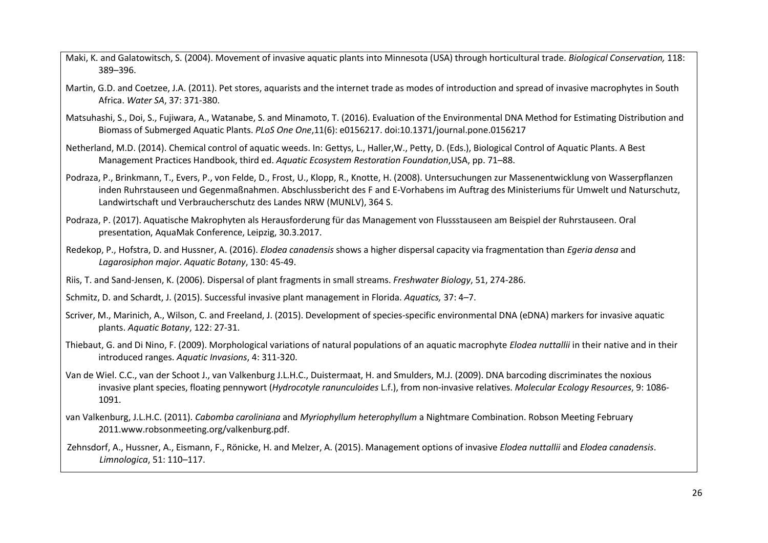- Maki, K. and Galatowitsch, S. (2004). Movement of invasive aquatic plants into Minnesota (USA) through horticultural trade. *Biological Conservation,* 118: 389–396.
- Martin, G.D. and Coetzee, J.A. (2011). Pet stores, aquarists and the internet trade as modes of introduction and spread of invasive macrophytes in South Africa. *Water SA*, 37: 371-380.
- Matsuhashi, S., Doi, S., Fujiwara, A., Watanabe, S. and Minamoto, T. (2016). Evaluation of the Environmental DNA Method for Estimating Distribution and Biomass of Submerged Aquatic Plants. *PLoS One One*,11(6): e0156217. doi:10.1371/journal.pone.0156217
- Netherland, M.D. (2014). Chemical control of aquatic weeds. In: Gettys, L., Haller,W., Petty, D. (Eds.), Biological Control of Aquatic Plants. A Best Management Practices Handbook, third ed. *Aquatic Ecosystem Restoration Foundation*,USA, pp. 71–88.
- Podraza, P., Brinkmann, T., Evers, P., von Felde, D., Frost, U., Klopp, R., Knotte, H. (2008). Untersuchungen zur Massenentwicklung von Wasserpflanzen inden Ruhrstauseen und Gegenmaßnahmen. Abschlussbericht des F and E-Vorhabens im Auftrag des Ministeriums für Umwelt und Naturschutz, Landwirtschaft und Verbraucherschutz des Landes NRW (MUNLV), 364 S.
- Podraza, P. (2017). Aquatische Makrophyten als Herausforderung für das Management von Flussstauseen am Beispiel der Ruhrstauseen. Oral presentation, AquaMak Conference, Leipzig, 30.3.2017.
- Redekop, P., Hofstra, D. and Hussner, A. (2016). *Elodea canadensis* shows a higher dispersal capacity via fragmentation than *Egeria densa* and *Lagarosiphon major*. *Aquatic Botany*, 130: 45-49.
- Riis, T. and Sand-Jensen, K. (2006). Dispersal of plant fragments in small streams. *Freshwater Biology*, 51, 274-286.
- Schmitz, D. and Schardt, J. (2015). Successful invasive plant management in Florida. *Aquatics,* 37: 4–7.
- Scriver, M., Marinich, A., Wilson, C. and Freeland, J. (2015). Development of species-specific environmental DNA (eDNA) markers for invasive aquatic plants. *Aquatic Botany*, 122: 27-31.
- Thiebaut, G. and Di Nino, F. (2009). Morphological variations of natural populations of an aquatic macrophyte *Elodea nuttallii* in their native and in their introduced ranges. *Aquatic Invasions*, 4: 311-320.
- Van de Wiel. C.C., van der Schoot J., van Valkenburg J.L.H.C., Duistermaat, H. and Smulders, M.J. (2009). DNA barcoding discriminates the noxious invasive plant species, floating pennywort (*Hydrocotyle ranunculoides* L.f.), from non-invasive relatives. *Molecular Ecology Resources*, 9: 1086- 1091.
- van Valkenburg, J.L.H.C. (2011). *Cabomba caroliniana* and *Myriophyllum heterophyllum* a Nightmare Combination. Robson Meeting February 201[1.www.robsonmeeting.org/valkenburg.pdf.](http://www.robsonmeeting.org/valkenburg.pdf)
- Zehnsdorf, A., Hussner, A., Eismann, F., Rönicke, H. and Melzer, A. (2015). Management options of invasive *Elodea nuttallii* and *Elodea canadensis*. *Limnologica*, 51: 110–117.